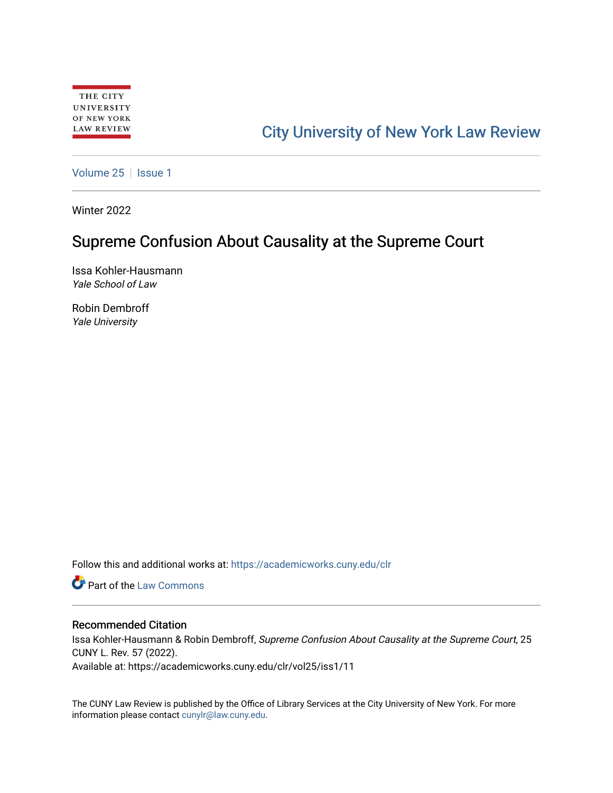# [City University of New York Law Review](https://academicworks.cuny.edu/clr)

[Volume 25](https://academicworks.cuny.edu/clr/vol25) | [Issue 1](https://academicworks.cuny.edu/clr/vol25/iss1)

Winter 2022

# Supreme Confusion About Causality at the Supreme Court

Issa Kohler-Hausmann Yale School of Law

Robin Dembroff Yale University

Follow this and additional works at: [https://academicworks.cuny.edu/clr](https://academicworks.cuny.edu/clr?utm_source=academicworks.cuny.edu%2Fclr%2Fvol25%2Fiss1%2F11&utm_medium=PDF&utm_campaign=PDFCoverPages) 

**C** Part of the [Law Commons](http://network.bepress.com/hgg/discipline/578?utm_source=academicworks.cuny.edu%2Fclr%2Fvol25%2Fiss1%2F11&utm_medium=PDF&utm_campaign=PDFCoverPages)

## Recommended Citation

Issa Kohler-Hausmann & Robin Dembroff, Supreme Confusion About Causality at the Supreme Court, 25 CUNY L. Rev. 57 (2022).

Available at: https://academicworks.cuny.edu/clr/vol25/iss1/11

The CUNY Law Review is published by the Office of Library Services at the City University of New York. For more information please contact [cunylr@law.cuny.edu](mailto:cunylr@law.cuny.edu).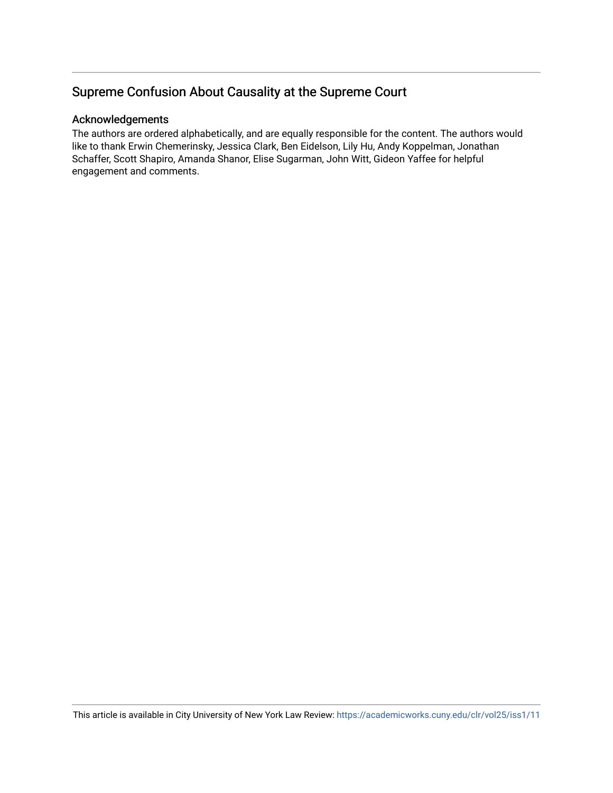# Supreme Confusion About Causality at the Supreme Court

## Acknowledgements

The authors are ordered alphabetically, and are equally responsible for the content. The authors would like to thank Erwin Chemerinsky, Jessica Clark, Ben Eidelson, Lily Hu, Andy Koppelman, Jonathan Schaffer, Scott Shapiro, Amanda Shanor, Elise Sugarman, John Witt, Gideon Yaffee for helpful engagement and comments.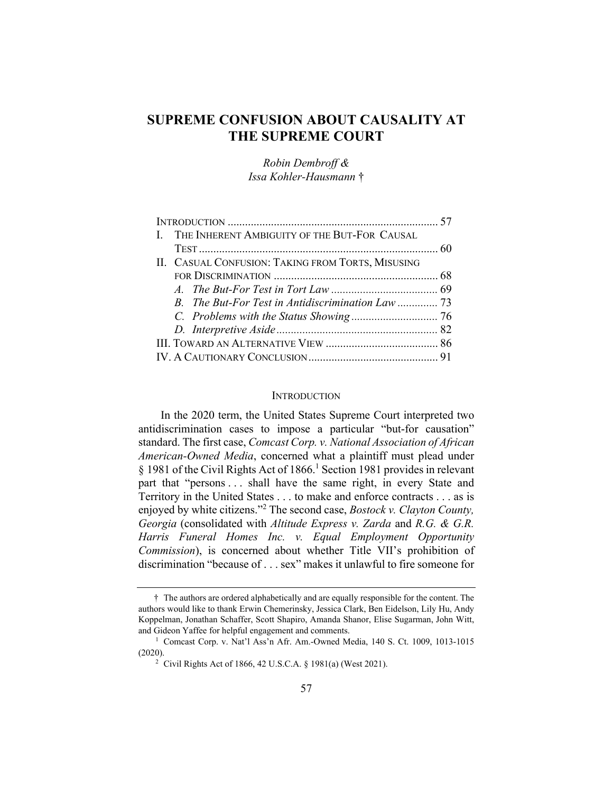## **SUPREME CONFUSION ABOUT CAUSALITY AT THE SUPREME COURT**

*Robin Dembroff & Issa Kohler-Hausmann* †

| I. THE INHERENT AMBIGUITY OF THE BUT-FOR CAUSAL   |  |
|---------------------------------------------------|--|
|                                                   |  |
|                                                   |  |
| II. CASUAL CONFUSION: TAKING FROM TORTS, MISUSING |  |
|                                                   |  |
|                                                   |  |
|                                                   |  |
|                                                   |  |
|                                                   |  |
|                                                   |  |
|                                                   |  |

#### **INTRODUCTION**

In the 2020 term, the United States Supreme Court interpreted two antidiscrimination cases to impose a particular "but-for causation" standard. The first case, *Comcast Corp. v. National Association of African American-Owned Media*, concerned what a plaintiff must plead under § 1981 of the Civil Rights Act of  $1866$ .<sup>1</sup> Section 1981 provides in relevant part that "persons . . . shall have the same right, in every State and Territory in the United States . . . to make and enforce contracts . . . as is enjoyed by white citizens."2 The second case, *Bostock v. Clayton County, Georgia* (consolidated with *Altitude Express v. Zarda* and *R.G. & G.R. Harris Funeral Homes Inc. v. Equal Employment Opportunity Commission*), is concerned about whether Title VII's prohibition of discrimination "because of . . . sex" makes it unlawful to fire someone for

 <sup>†</sup> The authors are ordered alphabetically and are equally responsible for the content. The authors would like to thank Erwin Chemerinsky, Jessica Clark, Ben Eidelson, Lily Hu, Andy Koppelman, Jonathan Schaffer, Scott Shapiro, Amanda Shanor, Elise Sugarman, John Witt, and Gideon Yaffee for helpful engagement and comments.<br><sup>1</sup> Comcast Corp. v. Nat'l Ass'n Afr. Am.-Owned Media, 140 S. Ct. 1009, 1013-1015

<sup>(2020). &</sup>lt;sup>2</sup> Civil Rights Act of 1866, 42 U.S.C.A. § 1981(a) (West 2021).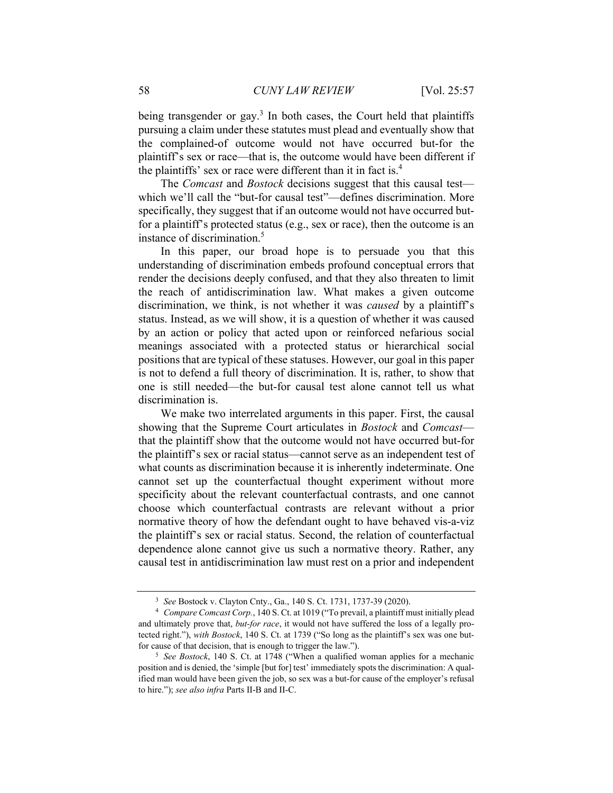being transgender or gay.<sup>3</sup> In both cases, the Court held that plaintiffs pursuing a claim under these statutes must plead and eventually show that the complained-of outcome would not have occurred but-for the plaintiff's sex or race—that is, the outcome would have been different if the plaintiffs' sex or race were different than it in fact is.4

The *Comcast* and *Bostock* decisions suggest that this causal test which we'll call the "but-for causal test"—defines discrimination. More specifically, they suggest that if an outcome would not have occurred butfor a plaintiff's protected status (e.g., sex or race), then the outcome is an instance of discrimination.5

In this paper, our broad hope is to persuade you that this understanding of discrimination embeds profound conceptual errors that render the decisions deeply confused, and that they also threaten to limit the reach of antidiscrimination law. What makes a given outcome discrimination, we think, is not whether it was *caused* by a plaintiff's status. Instead, as we will show, it is a question of whether it was caused by an action or policy that acted upon or reinforced nefarious social meanings associated with a protected status or hierarchical social positions that are typical of these statuses. However, our goal in this paper is not to defend a full theory of discrimination. It is, rather, to show that one is still needed—the but-for causal test alone cannot tell us what discrimination is.

We make two interrelated arguments in this paper. First, the causal showing that the Supreme Court articulates in *Bostock* and *Comcast* that the plaintiff show that the outcome would not have occurred but-for the plaintiff's sex or racial status—cannot serve as an independent test of what counts as discrimination because it is inherently indeterminate. One cannot set up the counterfactual thought experiment without more specificity about the relevant counterfactual contrasts, and one cannot choose which counterfactual contrasts are relevant without a prior normative theory of how the defendant ought to have behaved vis-a-viz the plaintiff's sex or racial status. Second, the relation of counterfactual dependence alone cannot give us such a normative theory. Rather, any causal test in antidiscrimination law must rest on a prior and independent

<sup>3</sup> *See* Bostock v. Clayton Cnty., Ga., 140 S. Ct. 1731, 1737-39 (2020). 4 *Compare Comcast Corp.*, 140 S. Ct. at 1019 ("To prevail, a plaintiff must initially plead and ultimately prove that, *but-for race*, it would not have suffered the loss of a legally protected right."), *with Bostock*, 140 S. Ct. at 1739 ("So long as the plaintiff's sex was one butfor cause of that decision, that is enough to trigger the law."). 5 *See Bostock*, 140 S. Ct. at 1748 ("When a qualified woman applies for a mechanic

position and is denied, the 'simple [but for] test' immediately spots the discrimination: A qualified man would have been given the job, so sex was a but-for cause of the employer's refusal to hire."); *see also infra* Parts II-B and II-C.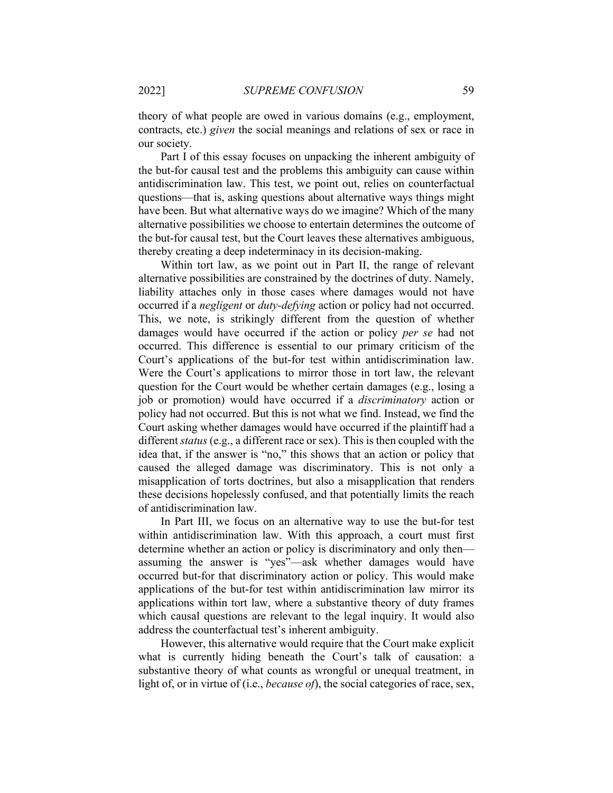theory of what people are owed in various domains (e.g., employment, contracts, etc.) *given* the social meanings and relations of sex or race in our society.

Part I of this essay focuses on unpacking the inherent ambiguity of the but-for causal test and the problems this ambiguity can cause within antidiscrimination law. This test, we point out, relies on counterfactual questions—that is, asking questions about alternative ways things might have been. But what alternative ways do we imagine? Which of the many alternative possibilities we choose to entertain determines the outcome of the but-for causal test, but the Court leaves these alternatives ambiguous, thereby creating a deep indeterminacy in its decision-making.

Within tort law, as we point out in Part II, the range of relevant alternative possibilities are constrained by the doctrines of duty. Namely, liability attaches only in those cases where damages would not have occurred if a *negligent* or *duty-defying* action or policy had not occurred. This, we note, is strikingly different from the question of whether damages would have occurred if the action or policy *per se* had not occurred. This difference is essential to our primary criticism of the Court's applications of the but-for test within antidiscrimination law. Were the Court's applications to mirror those in tort law, the relevant question for the Court would be whether certain damages (e.g., losing a job or promotion) would have occurred if a *discriminatory* action or policy had not occurred. But this is not what we find. Instead, we find the Court asking whether damages would have occurred if the plaintiff had a different *status* (e.g., a different race or sex). This is then coupled with the idea that, if the answer is "no," this shows that an action or policy that caused the alleged damage was discriminatory. This is not only a misapplication of torts doctrines, but also a misapplication that renders these decisions hopelessly confused, and that potentially limits the reach of antidiscrimination law.

In Part III, we focus on an alternative way to use the but-for test within antidiscrimination law. With this approach, a court must first determine whether an action or policy is discriminatory and only then assuming the answer is "yes"—ask whether damages would have occurred but-for that discriminatory action or policy. This would make applications of the but-for test within antidiscrimination law mirror its applications within tort law, where a substantive theory of duty frames which causal questions are relevant to the legal inquiry. It would also address the counterfactual test's inherent ambiguity.

However, this alternative would require that the Court make explicit what is currently hiding beneath the Court's talk of causation: a substantive theory of what counts as wrongful or unequal treatment, in light of, or in virtue of (i.e., *because of*), the social categories of race, sex,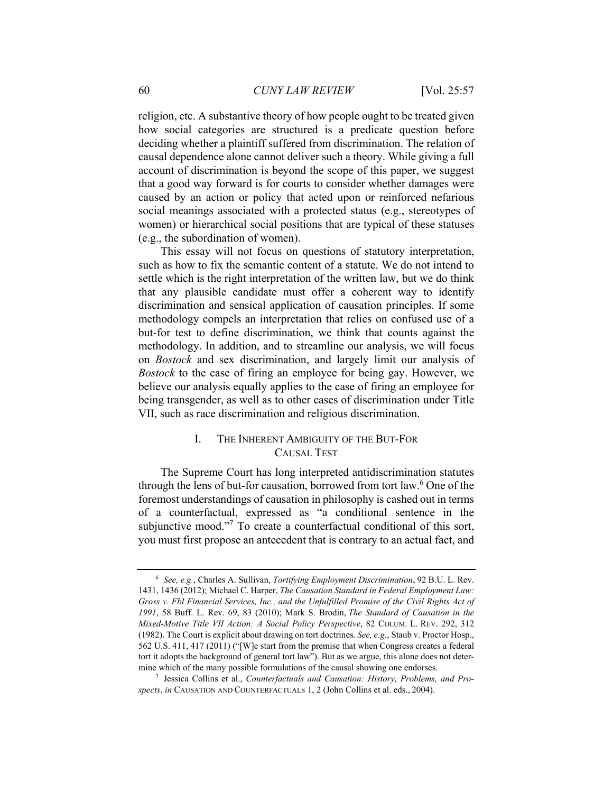religion, etc. A substantive theory of how people ought to be treated given how social categories are structured is a predicate question before deciding whether a plaintiff suffered from discrimination. The relation of causal dependence alone cannot deliver such a theory. While giving a full account of discrimination is beyond the scope of this paper, we suggest that a good way forward is for courts to consider whether damages were caused by an action or policy that acted upon or reinforced nefarious social meanings associated with a protected status (e.g., stereotypes of women) or hierarchical social positions that are typical of these statuses (e.g., the subordination of women).

This essay will not focus on questions of statutory interpretation, such as how to fix the semantic content of a statute. We do not intend to settle which is the right interpretation of the written law, but we do think that any plausible candidate must offer a coherent way to identify discrimination and sensical application of causation principles. If some methodology compels an interpretation that relies on confused use of a but-for test to define discrimination, we think that counts against the methodology. In addition, and to streamline our analysis, we will focus on *Bostock* and sex discrimination, and largely limit our analysis of *Bostock* to the case of firing an employee for being gay. However, we believe our analysis equally applies to the case of firing an employee for being transgender, as well as to other cases of discrimination under Title VII, such as race discrimination and religious discrimination.

### I. THE INHERENT AMBIGUITY OF THE BUT-FOR CAUSAL TEST

The Supreme Court has long interpreted antidiscrimination statutes through the lens of but-for causation, borrowed from tort law.<sup>6</sup> One of the foremost understandings of causation in philosophy is cashed out in terms of a counterfactual, expressed as "a conditional sentence in the subjunctive mood."<sup>7</sup> To create a counterfactual conditional of this sort, you must first propose an antecedent that is contrary to an actual fact, and

<sup>6</sup> *See, e.g.*, Charles A. Sullivan, *Tortifying Employment Discrimination*, 92 B.U. L. Rev. 1431, 1436 (2012); Michael C. Harper, *The Causation Standard in Federal Employment Law: Gross v. Fbl Financial Services, Inc., and the Unfulfilled Promise of the Civil Rights Act of 1991*, 58 Buff. L. Rev. 69, 83 (2010); Mark S. Brodin, *The Standard of Causation in the Mixed-Motive Title VII Action: A Social Policy Perspective*, 82 COLUM. L. REV. 292, 312 (1982). The Court is explicit about drawing on tort doctrines. *See, e.g.*, Staub v. Proctor Hosp., 562 U.S. 411, 417 (2011) ("[W]e start from the premise that when Congress creates a federal tort it adopts the background of general tort law"). But as we argue, this alone does not determine which of the many possible formulations of the causal showing one endorses. 7 Jessica Collins et al., *Counterfactuals and Causation: History, Problems, and Pro-*

*spects*, *in* CAUSATION AND COUNTERFACTUALS 1, 2 (John Collins et al. eds., 2004).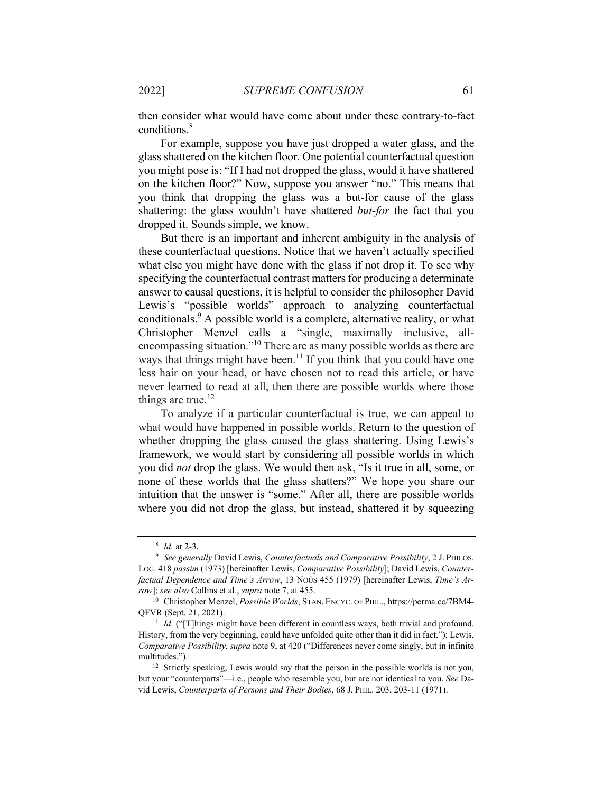then consider what would have come about under these contrary-to-fact conditions.<sup>8</sup>

For example, suppose you have just dropped a water glass, and the glass shattered on the kitchen floor. One potential counterfactual question you might pose is: "If I had not dropped the glass, would it have shattered on the kitchen floor?" Now, suppose you answer "no." This means that you think that dropping the glass was a but-for cause of the glass shattering: the glass wouldn't have shattered *but-for* the fact that you dropped it. Sounds simple, we know.

But there is an important and inherent ambiguity in the analysis of these counterfactual questions. Notice that we haven't actually specified what else you might have done with the glass if not drop it. To see why specifying the counterfactual contrast matters for producing a determinate answer to causal questions, it is helpful to consider the philosopher David Lewis's "possible worlds" approach to analyzing counterfactual conditionals.<sup>9</sup> A possible world is a complete, alternative reality, or what Christopher Menzel calls a "single, maximally inclusive, allencompassing situation."10 There are as many possible worlds as there are ways that things might have been.<sup>11</sup> If you think that you could have one less hair on your head, or have chosen not to read this article, or have never learned to read at all, then there are possible worlds where those things are true.<sup>12</sup>

To analyze if a particular counterfactual is true, we can appeal to what would have happened in possible worlds. Return to the question of whether dropping the glass caused the glass shattering. Using Lewis's framework, we would start by considering all possible worlds in which you did *not* drop the glass. We would then ask, "Is it true in all, some, or none of these worlds that the glass shatters?" We hope you share our intuition that the answer is "some." After all, there are possible worlds where you did not drop the glass, but instead, shattered it by squeezing

<sup>8</sup> *Id.* at 2-3. 9 *See generally* David Lewis, *Counterfactuals and Comparative Possibility*, 2 J. PHILOS. LOG. 418 *passim* (1973) [hereinafter Lewis, *Comparative Possibility*]; David Lewis, *Counterfactual Dependence and Time's Arrow*, 13 NOÛS 455 (1979) [hereinafter Lewis, *Time's Arrow*]; *see also* Collins et al., *supra* note 7, at 455.<br><sup>10</sup> Christopher Menzel, *Possible Worlds*, STAN. ENCYC. OF PHIL., https://perma.cc/7BM4-

QFVR (Sept. 21, 2021). 11 *Id.* ("[T]hings might have been different in countless ways, both trivial and profound.

History, from the very beginning, could have unfolded quite other than it did in fact."); Lewis, *Comparative Possibility*, *supra* note 9, at 420 ("Differences never come singly, but in infinite multitudes.").<br><sup>12</sup> Strictly speaking, Lewis would say that the person in the possible worlds is not you,

but your "counterparts"—i.e., people who resemble you, but are not identical to you. *See* David Lewis, *Counterparts of Persons and Their Bodies*, 68 J. PHIL. 203, 203-11 (1971).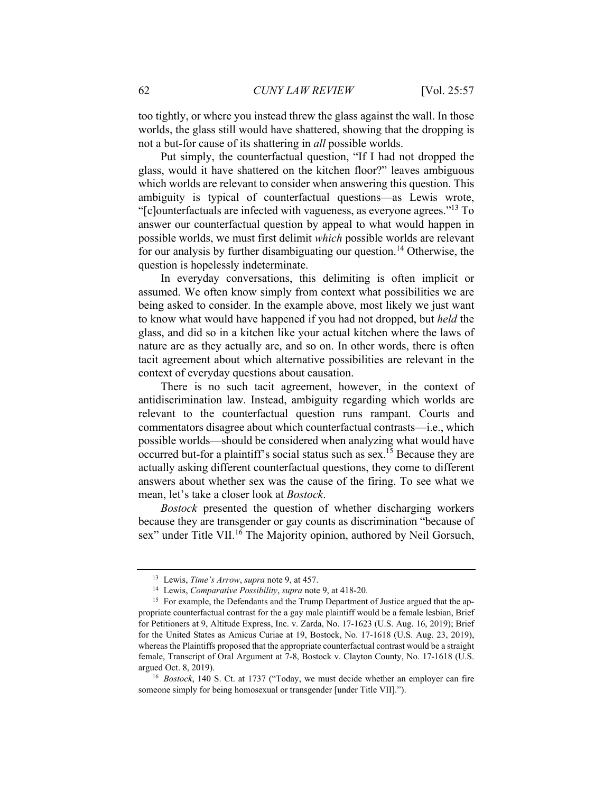too tightly, or where you instead threw the glass against the wall. In those worlds, the glass still would have shattered, showing that the dropping is not a but-for cause of its shattering in *all* possible worlds.

Put simply, the counterfactual question, "If I had not dropped the glass, would it have shattered on the kitchen floor?" leaves ambiguous which worlds are relevant to consider when answering this question. This ambiguity is typical of counterfactual questions—as Lewis wrote, "[c]ounterfactuals are infected with vagueness, as everyone agrees."13 To answer our counterfactual question by appeal to what would happen in possible worlds, we must first delimit *which* possible worlds are relevant for our analysis by further disambiguating our question.<sup>14</sup> Otherwise, the question is hopelessly indeterminate.

In everyday conversations, this delimiting is often implicit or assumed. We often know simply from context what possibilities we are being asked to consider. In the example above, most likely we just want to know what would have happened if you had not dropped, but *held* the glass, and did so in a kitchen like your actual kitchen where the laws of nature are as they actually are, and so on. In other words, there is often tacit agreement about which alternative possibilities are relevant in the context of everyday questions about causation.

There is no such tacit agreement, however, in the context of antidiscrimination law. Instead, ambiguity regarding which worlds are relevant to the counterfactual question runs rampant. Courts and commentators disagree about which counterfactual contrasts—i.e., which possible worlds—should be considered when analyzing what would have occurred but-for a plaintiff's social status such as sex.<sup>15</sup> Because they are actually asking different counterfactual questions, they come to different answers about whether sex was the cause of the firing. To see what we mean, let's take a closer look at *Bostock*.

*Bostock* presented the question of whether discharging workers because they are transgender or gay counts as discrimination "because of sex" under Title VII.<sup>16</sup> The Majority opinion, authored by Neil Gorsuch,

<sup>&</sup>lt;sup>13</sup> Lewis, *Time's Arrow*, *supra* note 9, at 457.<br><sup>14</sup> Lewis, *Comparative Possibility*, *supra* note 9, at 418-20.<br><sup>15</sup> For example, the Defendants and the Trump Department of Justice argued that the appropriate counterfactual contrast for the a gay male plaintiff would be a female lesbian, Brief for Petitioners at 9, Altitude Express, Inc. v. Zarda, No. 17-1623 (U.S. Aug. 16, 2019); Brief for the United States as Amicus Curiae at 19, Bostock, No. 17-1618 (U.S. Aug. 23, 2019), whereas the Plaintiffs proposed that the appropriate counterfactual contrast would be a straight female, Transcript of Oral Argument at 7-8, Bostock v. Clayton County, No. 17-1618 (U.S. argued Oct. 8, 2019). 16 *Bostock*, 140 S. Ct. at 1737 ("Today, we must decide whether an employer can fire

someone simply for being homosexual or transgender [under Title VII].").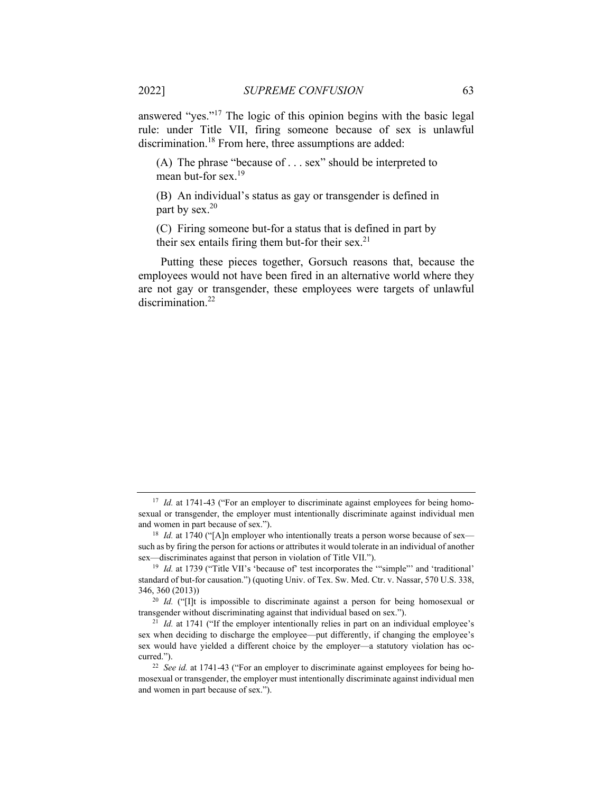answered "yes."17 The logic of this opinion begins with the basic legal rule: under Title VII, firing someone because of sex is unlawful discrimination.<sup>18</sup> From here, three assumptions are added:

(A) The phrase "because of . . . sex" should be interpreted to mean but-for sex.<sup>19</sup>

(B) An individual's status as gay or transgender is defined in part by sex.<sup>20</sup>

(C) Firing someone but-for a status that is defined in part by their sex entails firing them but-for their sex.<sup>21</sup>

Putting these pieces together, Gorsuch reasons that, because the employees would not have been fired in an alternative world where they are not gay or transgender, these employees were targets of unlawful discrimination.<sup>22</sup>

<sup>&</sup>lt;sup>17</sup> *Id.* at 1741-43 ("For an employer to discriminate against employees for being homosexual or transgender, the employer must intentionally discriminate against individual men and women in part because of sex.").<br><sup>18</sup> *Id.* at 1740 ("[A]n employer who intentionally treats a person worse because of sex—

such as by firing the person for actions or attributes it would tolerate in an individual of another sex—discriminates against that person in violation of Title VII.").<br><sup>19</sup> *Id.* at 1739 ("Title VII's 'because of' test incorporates the "'simple"' and 'traditional'

standard of but-for causation.") (quoting Univ. of Tex. Sw. Med. Ctr. v. Nassar, 570 U.S. 338, 346, 360 (2013)) 20 *Id.* ("[I]t is impossible to discriminate against a person for being homosexual or

transgender without discriminating against that individual based on sex."). 21 *Id.* at 1741 ("If the employer intentionally relies in part on an individual employee's

sex when deciding to discharge the employee—put differently, if changing the employee's sex would have yielded a different choice by the employer—a statutory violation has occurred."). 22 *See id.* at 1741-43 ("For an employer to discriminate against employees for being ho-

mosexual or transgender, the employer must intentionally discriminate against individual men and women in part because of sex.").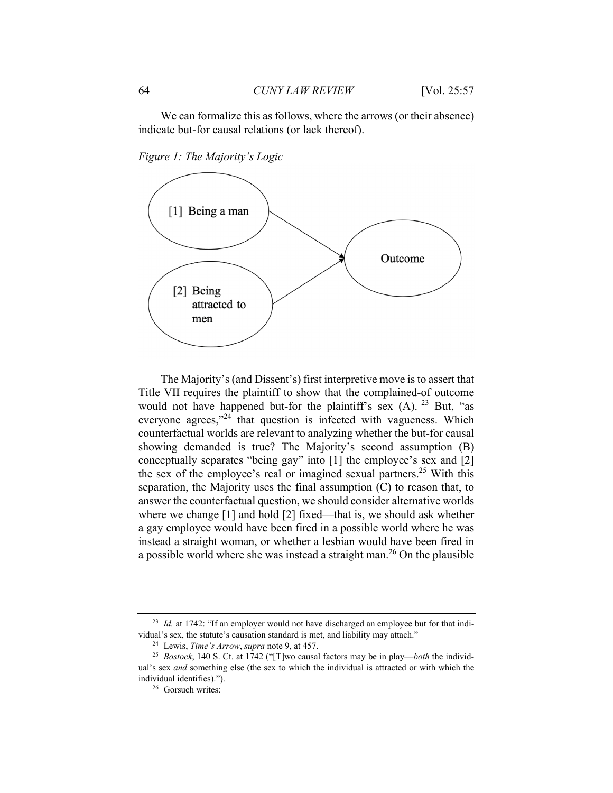*Figure 1: The Majority's Logic* 



The Majority's (and Dissent's) first interpretive move is to assert that Title VII requires the plaintiff to show that the complained-of outcome would not have happened but-for the plaintiff's sex  $(A)$ . <sup>23</sup> But, "as everyone agrees,"<sup>24</sup> that question is infected with vagueness. Which counterfactual worlds are relevant to analyzing whether the but-for causal showing demanded is true? The Majority's second assumption (B) conceptually separates "being gay" into [1] the employee's sex and [2] the sex of the employee's real or imagined sexual partners.<sup>25</sup> With this separation, the Majority uses the final assumption (C) to reason that, to answer the counterfactual question, we should consider alternative worlds where we change [1] and hold [2] fixed—that is, we should ask whether a gay employee would have been fired in a possible world where he was instead a straight woman, or whether a lesbian would have been fired in a possible world where she was instead a straight man.<sup>26</sup> On the plausible

<sup>&</sup>lt;sup>23</sup> *Id.* at 1742: "If an employer would not have discharged an employee but for that individual's sex, the statute's causation standard is met, and liability may attach."

<sup>&</sup>lt;sup>24</sup> Lewis, *Time's Arrow*, *supra* note 9, at 457.<br><sup>25</sup> *Bostock*, 140 S. Ct. at 1742 ("[T]wo causal factors may be in play—*both* the individual's sex *and* something else (the sex to which the individual is attracted or with which the individual identifies)."). 26 Gorsuch writes: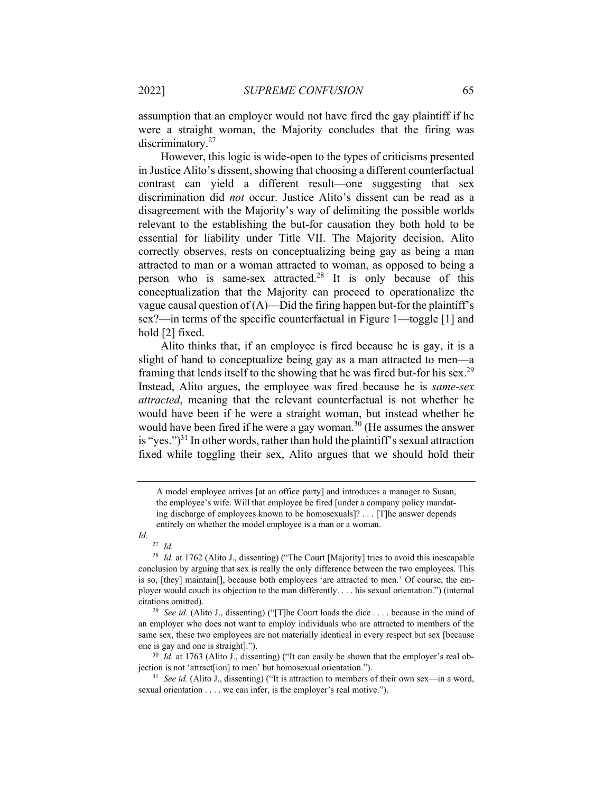assumption that an employer would not have fired the gay plaintiff if he were a straight woman, the Majority concludes that the firing was discriminatory.<sup>27</sup>

However, this logic is wide-open to the types of criticisms presented in Justice Alito's dissent, showing that choosing a different counterfactual contrast can yield a different result—one suggesting that sex discrimination did *not* occur. Justice Alito's dissent can be read as a disagreement with the Majority's way of delimiting the possible worlds relevant to the establishing the but-for causation they both hold to be essential for liability under Title VII. The Majority decision, Alito correctly observes, rests on conceptualizing being gay as being a man attracted to man or a woman attracted to woman, as opposed to being a person who is same-sex attracted.<sup>28</sup> It is only because of this conceptualization that the Majority can proceed to operationalize the vague causal question of  $(A)$ —Did the firing happen but-for the plaintiff's sex?—in terms of the specific counterfactual in Figure 1—toggle [1] and hold [2] fixed.

Alito thinks that, if an employee is fired because he is gay, it is a slight of hand to conceptualize being gay as a man attracted to men—a framing that lends itself to the showing that he was fired but-for his sex.<sup>29</sup> Instead, Alito argues, the employee was fired because he is *same-sex attracted*, meaning that the relevant counterfactual is not whether he would have been if he were a straight woman, but instead whether he would have been fired if he were a gay woman.<sup>30</sup> (He assumes the answer is "yes.")<sup>31</sup> In other words, rather than hold the plaintiff's sexual attraction fixed while toggling their sex, Alito argues that we should hold their

*Id.* 

<sup>27</sup> *Id.*

A model employee arrives [at an office party] and introduces a manager to Susan, the employee's wife. Will that employee be fired [under a company policy mandating discharge of employees known to be homosexuals]? . . . [T]he answer depends entirely on whether the model employee is a man or a woman.

<sup>&</sup>lt;sup>28</sup> *Id.* at 1762 (Alito J., dissenting) ("The Court [Majority] tries to avoid this inescapable conclusion by arguing that sex is really the only difference between the two employees. This is so, [they] maintain[], because both employees 'are attracted to men.' Of course, the employer would couch its objection to the man differently. . . . his sexual orientation.") (internal citations omitted). 29 *See id.* (Alito J., dissenting) ("[T]he Court loads the dice . . . . because in the mind of

an employer who does not want to employ individuals who are attracted to members of the same sex, these two employees are not materially identical in every respect but sex [because one is gay and one is straight].").<br><sup>30</sup> *Id.* at 1763 (Alito J., dissenting) ("It can easily be shown that the employer's real ob-

jection is not 'attract[ion] to men' but homosexual orientation."). 31 *See id.* (Alito J., dissenting) ("It is attraction to members of their own sex—in a word,

sexual orientation . . . . we can infer, is the employer's real motive.").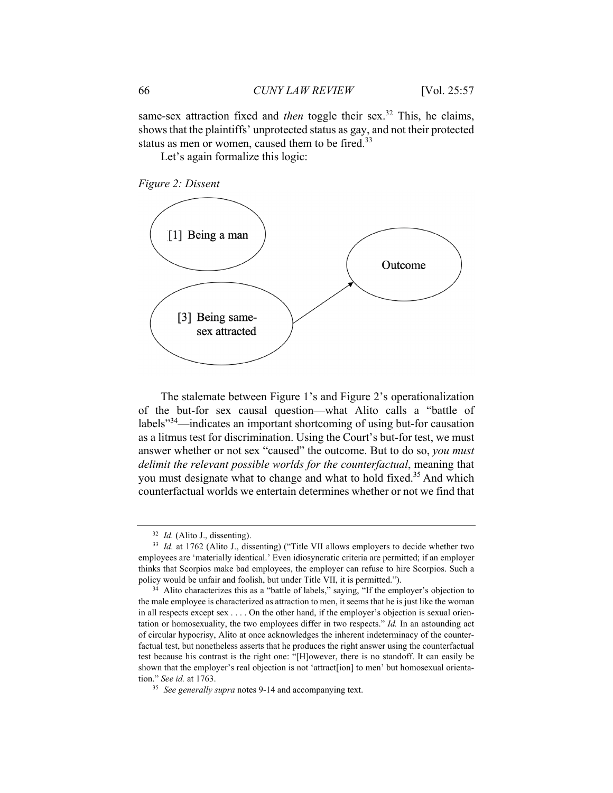same-sex attraction fixed and *then* toggle their sex.<sup>32</sup> This, he claims, shows that the plaintiffs' unprotected status as gay, and not their protected status as men or women, caused them to be fired.<sup>33</sup>

Let's again formalize this logic:





The stalemate between Figure 1's and Figure 2's operationalization of the but-for sex causal question—what Alito calls a "battle of labels"34—indicates an important shortcoming of using but-for causation as a litmus test for discrimination. Using the Court's but-for test, we must answer whether or not sex "caused" the outcome. But to do so, *you must delimit the relevant possible worlds for the counterfactual*, meaning that you must designate what to change and what to hold fixed.<sup>35</sup> And which counterfactual worlds we entertain determines whether or not we find that

<sup>&</sup>lt;sup>32</sup> *Id.* (Alito J., dissenting).<br><sup>33</sup> *Id.* at 1762 (Alito J., dissenting) ("Title VII allows employers to decide whether two employees are 'materially identical.' Even idiosyncratic criteria are permitted; if an employer thinks that Scorpios make bad employees, the employer can refuse to hire Scorpios. Such a policy would be unfair and foolish, but under Title VII, it is permitted.").<br><sup>34</sup> Alito characterizes this as a "battle of labels," saying, "If the employer's objection to

the male employee is characterized as attraction to men, it seems that he is just like the woman in all respects except sex . . . . On the other hand, if the employer's objection is sexual orientation or homosexuality, the two employees differ in two respects." *Id.* In an astounding act of circular hypocrisy, Alito at once acknowledges the inherent indeterminacy of the counterfactual test, but nonetheless asserts that he produces the right answer using the counterfactual test because his contrast is the right one: "[H]owever, there is no standoff. It can easily be shown that the employer's real objection is not 'attract[ion] to men' but homosexual orientation." *See id.* at 1763. 35 *See generally supra* notes 9-14 and accompanying text.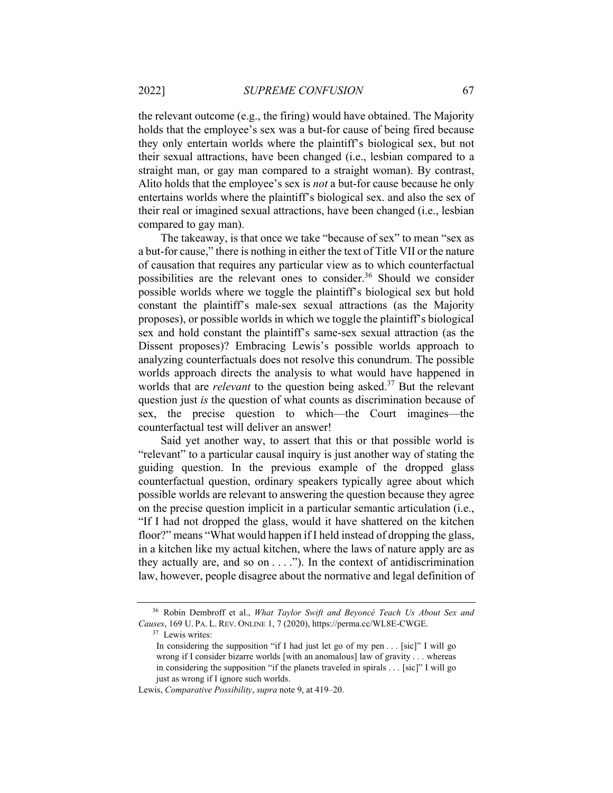the relevant outcome (e.g., the firing) would have obtained. The Majority holds that the employee's sex was a but-for cause of being fired because they only entertain worlds where the plaintiff's biological sex, but not their sexual attractions, have been changed (i.e., lesbian compared to a straight man, or gay man compared to a straight woman). By contrast, Alito holds that the employee's sex is *not* a but-for cause because he only entertains worlds where the plaintiff's biological sex. and also the sex of their real or imagined sexual attractions, have been changed (i.e., lesbian compared to gay man).

The takeaway, is that once we take "because of sex" to mean "sex as a but-for cause," there is nothing in either the text of Title VII or the nature of causation that requires any particular view as to which counterfactual possibilities are the relevant ones to consider.<sup>36</sup> Should we consider possible worlds where we toggle the plaintiff's biological sex but hold constant the plaintiff's male-sex sexual attractions (as the Majority proposes), or possible worlds in which we toggle the plaintiff's biological sex and hold constant the plaintiff's same-sex sexual attraction (as the Dissent proposes)? Embracing Lewis's possible worlds approach to analyzing counterfactuals does not resolve this conundrum. The possible worlds approach directs the analysis to what would have happened in worlds that are *relevant* to the question being asked.<sup>37</sup> But the relevant question just *is* the question of what counts as discrimination because of sex, the precise question to which—the Court imagines—the counterfactual test will deliver an answer!

Said yet another way, to assert that this or that possible world is "relevant" to a particular causal inquiry is just another way of stating the guiding question. In the previous example of the dropped glass counterfactual question, ordinary speakers typically agree about which possible worlds are relevant to answering the question because they agree on the precise question implicit in a particular semantic articulation (i.e., "If I had not dropped the glass, would it have shattered on the kitchen floor?" means "What would happen if I held instead of dropping the glass, in a kitchen like my actual kitchen, where the laws of nature apply are as they actually are, and so on  $\dots$ ."). In the context of antidiscrimination law, however, people disagree about the normative and legal definition of

<sup>36</sup> Robin Dembroff et al., *What Taylor Swift and Beyoncé Teach Us About Sex and Causes*, 169 U. PA. L. REV. ONLINE 1, 7 (2020), https://perma.cc/WL8E-CWGE. 37 Lewis writes:

In considering the supposition "if I had just let go of my pen . . . [sic]" I will go wrong if I consider bizarre worlds [with an anomalous] law of gravity . . . whereas in considering the supposition "if the planets traveled in spirals . . . [sic]" I will go just as wrong if I ignore such worlds.

Lewis, *Comparative Possibility*, *supra* note 9, at 419–20.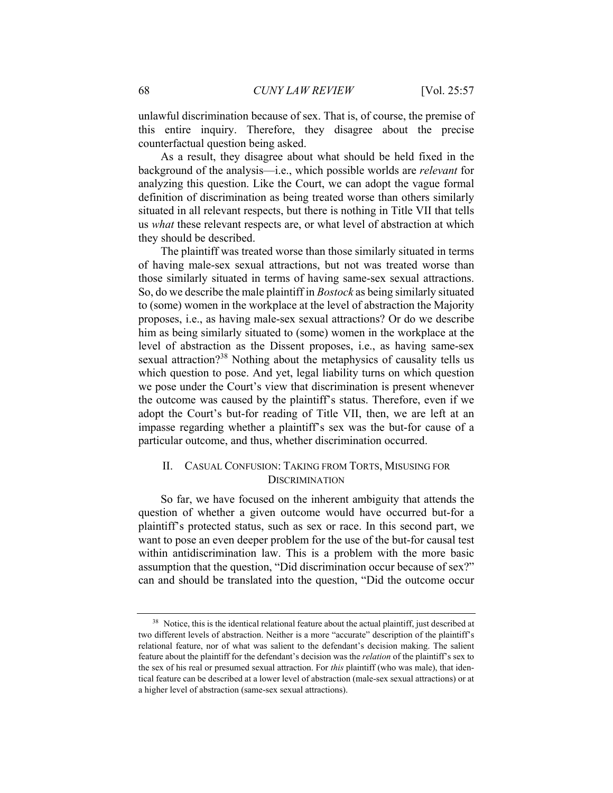unlawful discrimination because of sex. That is, of course, the premise of this entire inquiry. Therefore, they disagree about the precise counterfactual question being asked.

As a result, they disagree about what should be held fixed in the background of the analysis—i.e., which possible worlds are *relevant* for analyzing this question. Like the Court, we can adopt the vague formal definition of discrimination as being treated worse than others similarly situated in all relevant respects, but there is nothing in Title VII that tells us *what* these relevant respects are, or what level of abstraction at which they should be described.

The plaintiff was treated worse than those similarly situated in terms of having male-sex sexual attractions, but not was treated worse than those similarly situated in terms of having same-sex sexual attractions. So, do we describe the male plaintiff in *Bostock* as being similarly situated to (some) women in the workplace at the level of abstraction the Majority proposes, i.e., as having male-sex sexual attractions? Or do we describe him as being similarly situated to (some) women in the workplace at the level of abstraction as the Dissent proposes, i.e., as having same-sex sexual attraction?<sup>38</sup> Nothing about the metaphysics of causality tells us which question to pose. And yet, legal liability turns on which question we pose under the Court's view that discrimination is present whenever the outcome was caused by the plaintiff's status. Therefore, even if we adopt the Court's but-for reading of Title VII, then, we are left at an impasse regarding whether a plaintiff's sex was the but-for cause of a particular outcome, and thus, whether discrimination occurred.

### II. CASUAL CONFUSION: TAKING FROM TORTS, MISUSING FOR **DISCRIMINATION**

So far, we have focused on the inherent ambiguity that attends the question of whether a given outcome would have occurred but-for a plaintiff's protected status, such as sex or race. In this second part, we want to pose an even deeper problem for the use of the but-for causal test within antidiscrimination law. This is a problem with the more basic assumption that the question, "Did discrimination occur because of sex?" can and should be translated into the question, "Did the outcome occur

<sup>&</sup>lt;sup>38</sup> Notice, this is the identical relational feature about the actual plaintiff, just described at two different levels of abstraction. Neither is a more "accurate" description of the plaintiff's relational feature, nor of what was salient to the defendant's decision making. The salient feature about the plaintiff for the defendant's decision was the *relation* of the plaintiff's sex to the sex of his real or presumed sexual attraction. For *this* plaintiff (who was male), that identical feature can be described at a lower level of abstraction (male-sex sexual attractions) or at a higher level of abstraction (same-sex sexual attractions).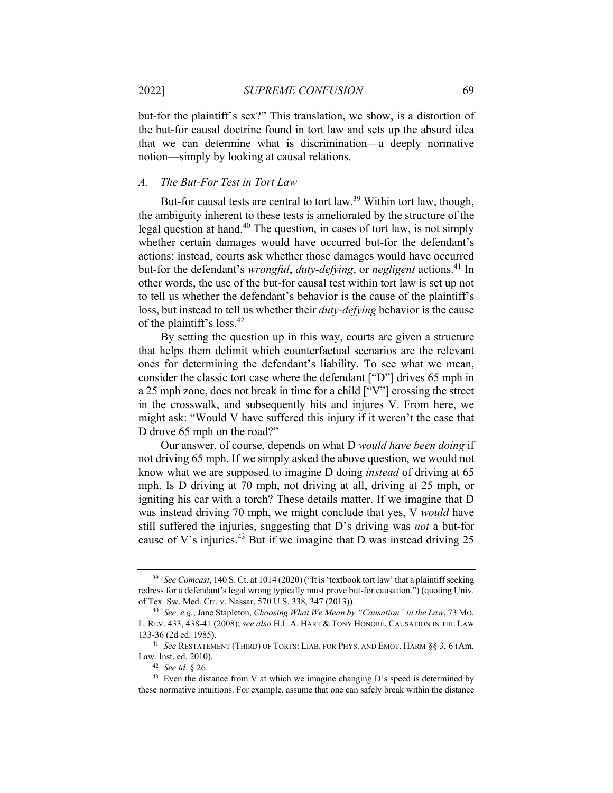but-for the plaintiff's sex?" This translation, we show, is a distortion of the but-for causal doctrine found in tort law and sets up the absurd idea that we can determine what is discrimination—a deeply normative notion—simply by looking at causal relations.

### *A. The But-For Test in Tort Law*

But-for causal tests are central to tort law.<sup>39</sup> Within tort law, though, the ambiguity inherent to these tests is ameliorated by the structure of the legal question at hand.40 The question, in cases of tort law, is not simply whether certain damages would have occurred but-for the defendant's actions; instead, courts ask whether those damages would have occurred but-for the defendant's *wrongful*, *duty-defying*, or *negligent* actions.41 In other words, the use of the but-for causal test within tort law is set up not to tell us whether the defendant's behavior is the cause of the plaintiff's loss, but instead to tell us whether their *duty-defying* behavior is the cause of the plaintiff's loss.<sup>42</sup>

By setting the question up in this way, courts are given a structure that helps them delimit which counterfactual scenarios are the relevant ones for determining the defendant's liability. To see what we mean, consider the classic tort case where the defendant ["D"] drives 65 mph in a 25 mph zone, does not break in time for a child ["V"] crossing the street in the crosswalk, and subsequently hits and injures V. From here, we might ask: "Would V have suffered this injury if it weren't the case that D drove 65 mph on the road?"

Our answer, of course, depends on what D *would have been doing* if not driving 65 mph. If we simply asked the above question, we would not know what we are supposed to imagine D doing *instead* of driving at 65 mph. Is D driving at 70 mph, not driving at all, driving at 25 mph, or igniting his car with a torch? These details matter. If we imagine that D was instead driving 70 mph, we might conclude that yes, V *would* have still suffered the injuries, suggesting that D's driving was *not* a but-for cause of V's injuries.<sup>43</sup> But if we imagine that D was instead driving 25

<sup>39</sup> *See Comcast*, 140 S. Ct. at 1014 (2020) ("It is 'textbook tort law' that a plaintiff seeking redress for a defendant's legal wrong typically must prove but-for causation.") (quoting Univ. of Tex. Sw. Med. Ctr. v. Nassar, 570 U.S. 338, 347 (2013)). 40 *See, e.g.*, Jane Stapleton, *Choosing What We Mean by "Causation" in the Law*, 73 MO.

L. REV. 433, 438-41 (2008); *see also* H.L.A. HART & TONY HONORÉ, CAUSATION IN THE LAW

<sup>133-36 (2</sup>d ed. 1985). 41 *See* RESTATEMENT (THIRD) OF TORTS: LIAB. FOR PHYS. AND EMOT. HARM §§ 3, 6 (Am.

<sup>&</sup>lt;sup>42</sup> See id. § 26.  $\frac{43}{13}$  Even the distance from V at which we imagine changing D's speed is determined by these normative intuitions. For example, assume that one can safely break within the distance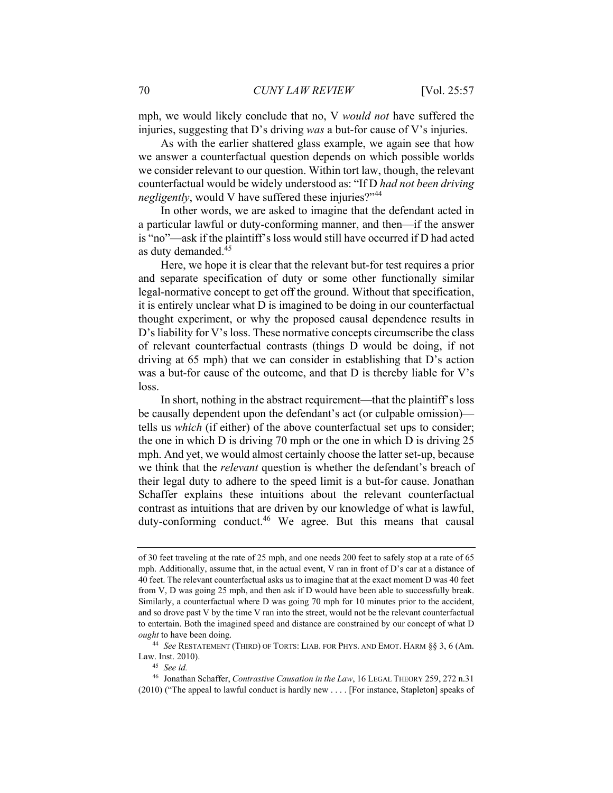mph, we would likely conclude that no, V *would not* have suffered the injuries, suggesting that D's driving *was* a but-for cause of V's injuries.

As with the earlier shattered glass example, we again see that how we answer a counterfactual question depends on which possible worlds we consider relevant to our question. Within tort law, though, the relevant counterfactual would be widely understood as: "If D *had not been driving negligently*, would V have suffered these injuries?"<sup>44</sup>

In other words, we are asked to imagine that the defendant acted in a particular lawful or duty-conforming manner, and then—if the answer is "no"—ask if the plaintiff's loss would still have occurred if D had acted as duty demanded.45

Here, we hope it is clear that the relevant but-for test requires a prior and separate specification of duty or some other functionally similar legal-normative concept to get off the ground. Without that specification, it is entirely unclear what D is imagined to be doing in our counterfactual thought experiment, or why the proposed causal dependence results in D's liability for V's loss. These normative concepts circumscribe the class of relevant counterfactual contrasts (things D would be doing, if not driving at 65 mph) that we can consider in establishing that D's action was a but-for cause of the outcome, and that D is thereby liable for V's loss.

In short, nothing in the abstract requirement—that the plaintiff's loss be causally dependent upon the defendant's act (or culpable omission) tells us *which* (if either) of the above counterfactual set ups to consider; the one in which D is driving 70 mph or the one in which D is driving 25 mph. And yet, we would almost certainly choose the latter set-up, because we think that the *relevant* question is whether the defendant's breach of their legal duty to adhere to the speed limit is a but-for cause. Jonathan Schaffer explains these intuitions about the relevant counterfactual contrast as intuitions that are driven by our knowledge of what is lawful, duty-conforming conduct.<sup>46</sup> We agree. But this means that causal

of 30 feet traveling at the rate of 25 mph, and one needs 200 feet to safely stop at a rate of 65 mph. Additionally, assume that, in the actual event, V ran in front of D's car at a distance of 40 feet. The relevant counterfactual asks us to imagine that at the exact moment D was 40 feet from V, D was going 25 mph, and then ask if D would have been able to successfully break. Similarly, a counterfactual where D was going 70 mph for 10 minutes prior to the accident, and so drove past V by the time V ran into the street, would not be the relevant counterfactual to entertain. Both the imagined speed and distance are constrained by our concept of what D *ought* to have been doing. 44 *See* RESTATEMENT (THIRD) OF TORTS: LIAB. FOR PHYS. AND EMOT. HARM §§ 3, 6 (Am.

Law. Inst. 2010). 45 *See id.*

<sup>46</sup> Jonathan Schaffer, *Contrastive Causation in the Law*, 16 LEGAL THEORY 259, 272 n.31 (2010) ("The appeal to lawful conduct is hardly new . . . . [For instance, Stapleton] speaks of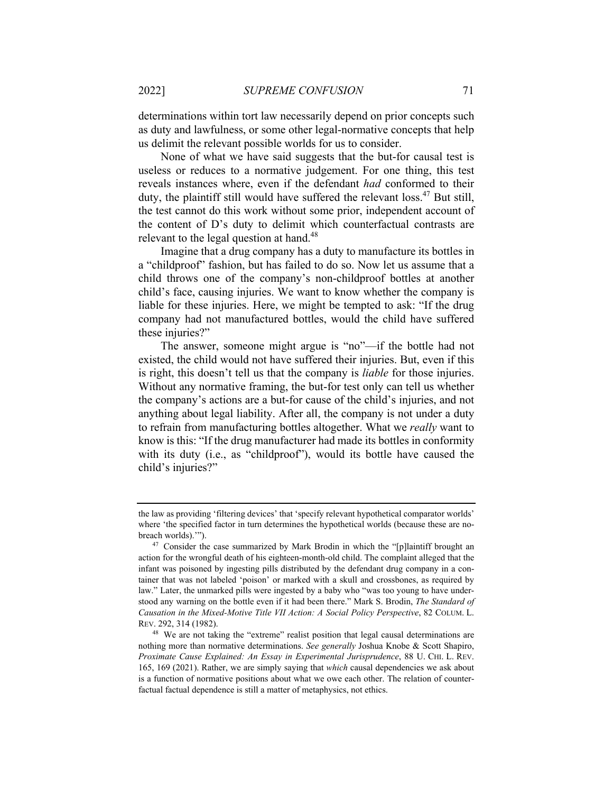determinations within tort law necessarily depend on prior concepts such as duty and lawfulness, or some other legal-normative concepts that help us delimit the relevant possible worlds for us to consider.

None of what we have said suggests that the but-for causal test is useless or reduces to a normative judgement. For one thing, this test reveals instances where, even if the defendant *had* conformed to their duty, the plaintiff still would have suffered the relevant loss.47 But still, the test cannot do this work without some prior, independent account of the content of D's duty to delimit which counterfactual contrasts are relevant to the legal question at hand.<sup>48</sup>

Imagine that a drug company has a duty to manufacture its bottles in a "childproof" fashion, but has failed to do so. Now let us assume that a child throws one of the company's non-childproof bottles at another child's face, causing injuries. We want to know whether the company is liable for these injuries. Here, we might be tempted to ask: "If the drug company had not manufactured bottles, would the child have suffered these injuries?"

The answer, someone might argue is "no"—if the bottle had not existed, the child would not have suffered their injuries. But, even if this is right, this doesn't tell us that the company is *liable* for those injuries. Without any normative framing, the but-for test only can tell us whether the company's actions are a but-for cause of the child's injuries, and not anything about legal liability. After all, the company is not under a duty to refrain from manufacturing bottles altogether. What we *really* want to know is this: "If the drug manufacturer had made its bottles in conformity with its duty (i.e., as "childproof"), would its bottle have caused the child's injuries?"

the law as providing 'filtering devices' that 'specify relevant hypothetical comparator worlds' where 'the specified factor in turn determines the hypothetical worlds (because these are nobreach worlds).'").<br><sup>47</sup> Consider the case summarized by Mark Brodin in which the "[p]laintiff brought an

action for the wrongful death of his eighteen-month-old child. The complaint alleged that the infant was poisoned by ingesting pills distributed by the defendant drug company in a container that was not labeled 'poison' or marked with a skull and crossbones, as required by law." Later, the unmarked pills were ingested by a baby who "was too young to have understood any warning on the bottle even if it had been there." Mark S. Brodin, *The Standard of Causation in the Mixed-Motive Title VII Action: A Social Policy Perspective*, 82 COLUM. L. REV. 292, 314 (1982).

<sup>48</sup> We are not taking the "extreme" realist position that legal causal determinations are nothing more than normative determinations. *See generally* Joshua Knobe & Scott Shapiro, *Proximate Cause Explained: An Essay in Experimental Jurisprudence*, 88 U. CHI. L. REV. 165, 169 (2021). Rather, we are simply saying that *which* causal dependencies we ask about is a function of normative positions about what we owe each other. The relation of counterfactual factual dependence is still a matter of metaphysics, not ethics.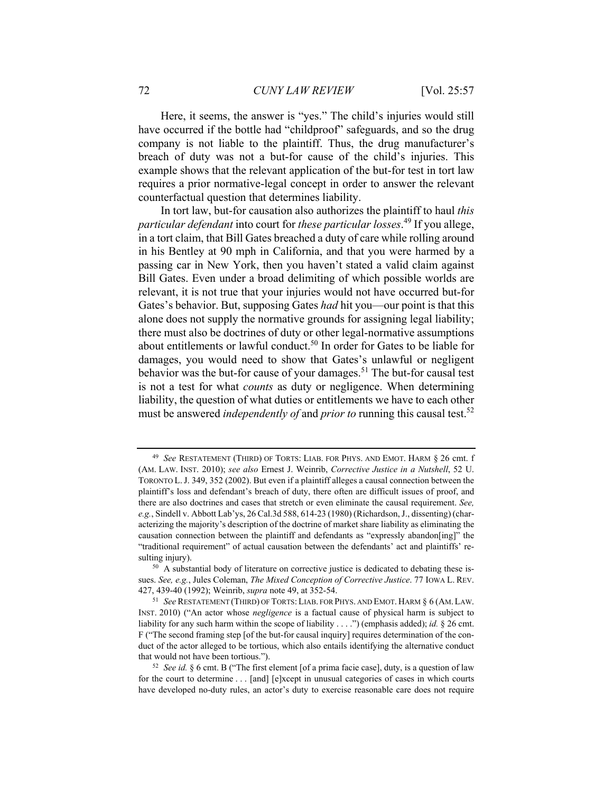Here, it seems, the answer is "yes." The child's injuries would still have occurred if the bottle had "childproof" safeguards, and so the drug company is not liable to the plaintiff. Thus, the drug manufacturer's breach of duty was not a but-for cause of the child's injuries. This example shows that the relevant application of the but-for test in tort law requires a prior normative-legal concept in order to answer the relevant counterfactual question that determines liability.

In tort law, but-for causation also authorizes the plaintiff to haul *this particular defendant* into court for *these particular losses*. 49 If you allege, in a tort claim, that Bill Gates breached a duty of care while rolling around in his Bentley at 90 mph in California, and that you were harmed by a passing car in New York, then you haven't stated a valid claim against Bill Gates. Even under a broad delimiting of which possible worlds are relevant, it is not true that your injuries would not have occurred but-for Gates's behavior. But, supposing Gates *had* hit you—our point is that this alone does not supply the normative grounds for assigning legal liability; there must also be doctrines of duty or other legal-normative assumptions about entitlements or lawful conduct.<sup>50</sup> In order for Gates to be liable for damages, you would need to show that Gates's unlawful or negligent behavior was the but-for cause of your damages.<sup>51</sup> The but-for causal test is not a test for what *counts* as duty or negligence. When determining liability, the question of what duties or entitlements we have to each other must be answered *independently of* and *prior to* running this causal test.<sup>52</sup>

<sup>49</sup> *See* RESTATEMENT (THIRD) OF TORTS: LIAB. FOR PHYS. AND EMOT. HARM § 26 cmt. f (AM. LAW. INST. 2010); *see also* Ernest J. Weinrib, *Corrective Justice in a Nutshell*, 52 U. TORONTO L.J. 349, 352 (2002). But even if a plaintiff alleges a causal connection between the plaintiff's loss and defendant's breach of duty, there often are difficult issues of proof, and there are also doctrines and cases that stretch or even eliminate the causal requirement. *See, e.g.*, Sindell v. Abbott Lab'ys, 26 Cal.3d 588, 614-23 (1980) (Richardson, J., dissenting) (characterizing the majority's description of the doctrine of market share liability as eliminating the causation connection between the plaintiff and defendants as "expressly abandon[ing]" the "traditional requirement" of actual causation between the defendants' act and plaintiffs' resulting injury).<br><sup>50</sup> A substantial body of literature on corrective justice is dedicated to debating these is-

sues. *See, e.g.*, Jules Coleman, *The Mixed Conception of Corrective Justice*. 77 IOWA L. REV. 427, 439-40 (1992); Weinrib, *supra* note 49, at 352-54.<br><sup>51</sup> See RESTATEMENT (THIRD) OF TORTS: LIAB. FOR PHYS. AND EMOT. HARM § 6 (AM. LAW.

INST. 2010) ("An actor whose *negligence* is a factual cause of physical harm is subject to liability for any such harm within the scope of liability . . . .") (emphasis added); *id.* § 26 cmt. F ("The second framing step [of the but-for causal inquiry] requires determination of the conduct of the actor alleged to be tortious, which also entails identifying the alternative conduct that would not have been tortious."). 52 *See id.* § 6 cmt. B ("The first element [of a prima facie case], duty, is a question of law

for the court to determine . . . [and] [e]xcept in unusual categories of cases in which courts have developed no-duty rules, an actor's duty to exercise reasonable care does not require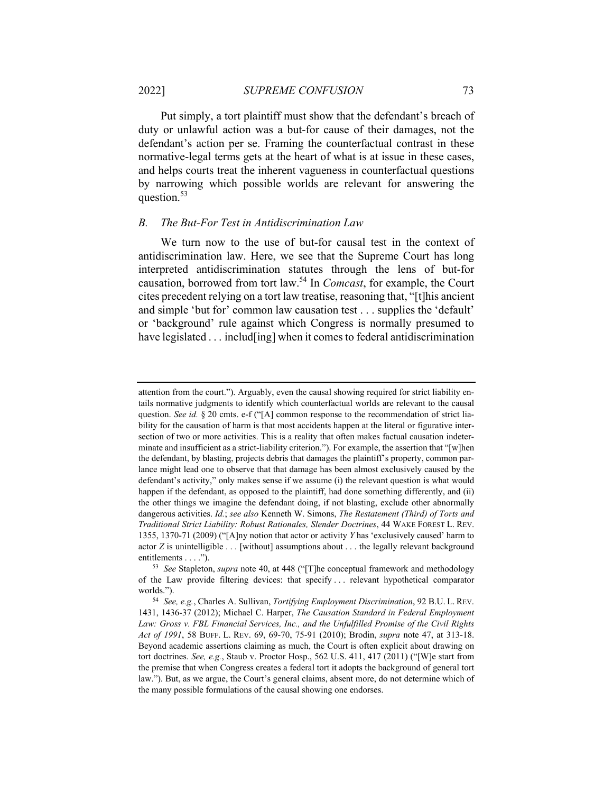Put simply, a tort plaintiff must show that the defendant's breach of duty or unlawful action was a but-for cause of their damages, not the defendant's action per se. Framing the counterfactual contrast in these normative-legal terms gets at the heart of what is at issue in these cases, and helps courts treat the inherent vagueness in counterfactual questions by narrowing which possible worlds are relevant for answering the question.<sup>53</sup>

#### *B. The But-For Test in Antidiscrimination Law*

We turn now to the use of but-for causal test in the context of antidiscrimination law. Here, we see that the Supreme Court has long interpreted antidiscrimination statutes through the lens of but-for causation, borrowed from tort law.54 In *Comcast*, for example, the Court cites precedent relying on a tort law treatise, reasoning that, "[t]his ancient and simple 'but for' common law causation test . . . supplies the 'default' or 'background' rule against which Congress is normally presumed to have legislated . . . includ [ing] when it comes to federal antidiscrimination

attention from the court."). Arguably, even the causal showing required for strict liability entails normative judgments to identify which counterfactual worlds are relevant to the causal question. *See id.* § 20 cmts. e-f ("[A] common response to the recommendation of strict liability for the causation of harm is that most accidents happen at the literal or figurative intersection of two or more activities. This is a reality that often makes factual causation indeterminate and insufficient as a strict-liability criterion."). For example, the assertion that "[w]hen the defendant, by blasting, projects debris that damages the plaintiff's property, common parlance might lead one to observe that that damage has been almost exclusively caused by the defendant's activity," only makes sense if we assume (i) the relevant question is what would happen if the defendant, as opposed to the plaintiff, had done something differently, and (ii) the other things we imagine the defendant doing, if not blasting, exclude other abnormally dangerous activities. *Id.*; *see also* Kenneth W. Simons, *The Restatement (Third) of Torts and Traditional Strict Liability: Robust Rationales, Slender Doctrines*, 44 WAKE FOREST L. REV. 1355, 1370-71 (2009) ("[A]ny notion that actor or activity *Y* has 'exclusively caused' harm to actor *Z* is unintelligible . . . [without] assumptions about . . . the legally relevant background entitlements . . . ."). 53 *See* Stapleton, *supra* note 40, at 448 ("[T]he conceptual framework and methodology

of the Law provide filtering devices: that specify . . . relevant hypothetical comparator worlds."). 54 *See, e.g.*, Charles A. Sullivan, *Tortifying Employment Discrimination*, 92 B.U. L. REV.

<sup>1431, 1436-37 (2012);</sup> Michael C. Harper, *The Causation Standard in Federal Employment Law: Gross v. FBL Financial Services, Inc., and the Unfulfilled Promise of the Civil Rights Act of 1991*, 58 BUFF. L. REV. 69, 69-70, 75-91 (2010); Brodin, *supra* note 47, at 313-18. Beyond academic assertions claiming as much, the Court is often explicit about drawing on tort doctrines. *See, e.g.*, Staub v. Proctor Hosp., 562 U.S. 411, 417 (2011) ("[W]e start from the premise that when Congress creates a federal tort it adopts the background of general tort law."). But, as we argue, the Court's general claims, absent more, do not determine which of the many possible formulations of the causal showing one endorses.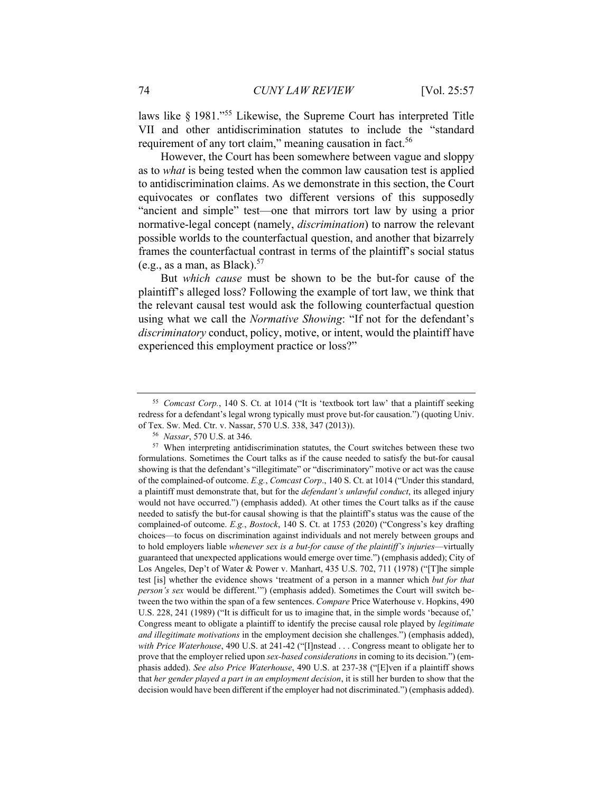laws like § 1981."55 Likewise, the Supreme Court has interpreted Title VII and other antidiscrimination statutes to include the "standard requirement of any tort claim," meaning causation in fact.<sup>56</sup>

However, the Court has been somewhere between vague and sloppy as to *what* is being tested when the common law causation test is applied to antidiscrimination claims. As we demonstrate in this section, the Court equivocates or conflates two different versions of this supposedly "ancient and simple" test—one that mirrors tort law by using a prior normative-legal concept (namely, *discrimination*) to narrow the relevant possible worlds to the counterfactual question, and another that bizarrely frames the counterfactual contrast in terms of the plaintiff's social status (e.g., as a man, as Black).<sup>57</sup>

But *which cause* must be shown to be the but-for cause of the plaintiff's alleged loss? Following the example of tort law, we think that the relevant causal test would ask the following counterfactual question using what we call the *Normative Showing*: "If not for the defendant's *discriminatory* conduct, policy, motive, or intent, would the plaintiff have experienced this employment practice or loss?"

<sup>55</sup> *Comcast Corp.*, 140 S. Ct. at 1014 ("It is 'textbook tort law' that a plaintiff seeking redress for a defendant's legal wrong typically must prove but-for causation.") (quoting Univ.

of Tex. Sw. Med. Ctr. v. Nassar, 570 U.S. 338, 347 (2013)).<br><sup>56</sup> *Nassar*, 570 U.S. at 346.<br><sup>57</sup> When interpreting antidiscrimination statutes, the Court switches between these two formulations. Sometimes the Court talks as if the cause needed to satisfy the but-for causal showing is that the defendant's "illegitimate" or "discriminatory" motive or act was the cause of the complained-of outcome. *E.g.*, *Comcast Corp*., 140 S. Ct. at 1014 ("Under this standard, a plaintiff must demonstrate that, but for the *defendant's unlawful conduct*, its alleged injury would not have occurred.") (emphasis added). At other times the Court talks as if the cause needed to satisfy the but-for causal showing is that the plaintiff's status was the cause of the complained-of outcome. *E.g.*, *Bostock*, 140 S. Ct. at 1753 (2020) ("Congress's key drafting choices—to focus on discrimination against individuals and not merely between groups and to hold employers liable *whenever sex is a but-for cause of the plaintiff's injuries*—virtually guaranteed that unexpected applications would emerge over time.") (emphasis added); City of Los Angeles, Dep't of Water & Power v. Manhart, 435 U.S. 702, 711 (1978) ("[T]he simple test [is] whether the evidence shows 'treatment of a person in a manner which *but for that person's sex* would be different.'") (emphasis added). Sometimes the Court will switch between the two within the span of a few sentences. *Compare* Price Waterhouse v. Hopkins, 490 U.S. 228, 241 (1989) ("It is difficult for us to imagine that, in the simple words 'because of,' Congress meant to obligate a plaintiff to identify the precise causal role played by *legitimate and illegitimate motivations* in the employment decision she challenges.") (emphasis added), *with Price Waterhouse*, 490 U.S. at 241-42 ("[I]nstead . . . Congress meant to obligate her to prove that the employer relied upon *sex-based considerations* in coming to its decision.") (emphasis added). *See also Price Waterhouse*, 490 U.S. at 237-38 ("[E]ven if a plaintiff shows that *her gender played a part in an employment decision*, it is still her burden to show that the decision would have been different if the employer had not discriminated.") (emphasis added).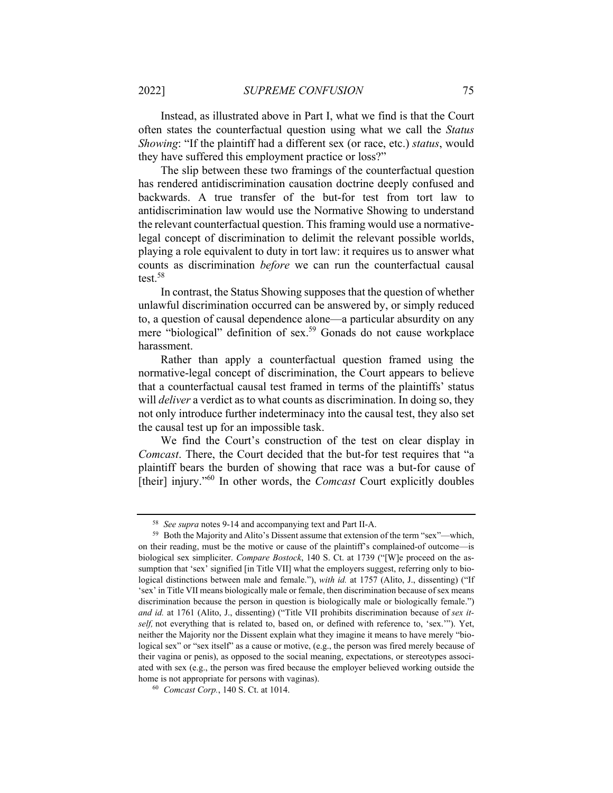Instead, as illustrated above in Part I, what we find is that the Court often states the counterfactual question using what we call the *Status Showing*: "If the plaintiff had a different sex (or race, etc.) *status*, would they have suffered this employment practice or loss?"

The slip between these two framings of the counterfactual question has rendered antidiscrimination causation doctrine deeply confused and backwards. A true transfer of the but-for test from tort law to antidiscrimination law would use the Normative Showing to understand the relevant counterfactual question. This framing would use a normativelegal concept of discrimination to delimit the relevant possible worlds, playing a role equivalent to duty in tort law: it requires us to answer what counts as discrimination *before* we can run the counterfactual causal test.58

In contrast, the Status Showing supposes that the question of whether unlawful discrimination occurred can be answered by, or simply reduced to, a question of causal dependence alone—a particular absurdity on any mere "biological" definition of sex.59 Gonads do not cause workplace harassment.

Rather than apply a counterfactual question framed using the normative-legal concept of discrimination, the Court appears to believe that a counterfactual causal test framed in terms of the plaintiffs' status will *deliver* a verdict as to what counts as discrimination. In doing so, they not only introduce further indeterminacy into the causal test, they also set the causal test up for an impossible task.

We find the Court's construction of the test on clear display in *Comcast*. There, the Court decided that the but-for test requires that "a plaintiff bears the burden of showing that race was a but-for cause of [their] injury."60 In other words, the *Comcast* Court explicitly doubles

<sup>58</sup> *See supra* notes 9-14 and accompanying text and Part II-A. 59 Both the Majority and Alito's Dissent assume that extension of the term "sex"—which, on their reading, must be the motive or cause of the plaintiff's complained-of outcome—is biological sex simpliciter. *Compare Bostock*, 140 S. Ct. at 1739 ("[W]e proceed on the assumption that 'sex' signified [in Title VII] what the employers suggest, referring only to biological distinctions between male and female."), *with id.* at 1757 (Alito, J., dissenting) ("If 'sex' in Title VII means biologically male or female, then discrimination because of sex means discrimination because the person in question is biologically male or biologically female.") *and id.* at 1761 (Alito, J., dissenting) ("Title VII prohibits discrimination because of *sex itself,* not everything that is related to, based on, or defined with reference to, 'sex.'"). Yet, neither the Majority nor the Dissent explain what they imagine it means to have merely "biological sex" or "sex itself" as a cause or motive, (e.g., the person was fired merely because of their vagina or penis), as opposed to the social meaning, expectations, or stereotypes associated with sex (e.g., the person was fired because the employer believed working outside the home is not appropriate for persons with vaginas). 60 *Comcast Corp.*, 140 S. Ct. at 1014.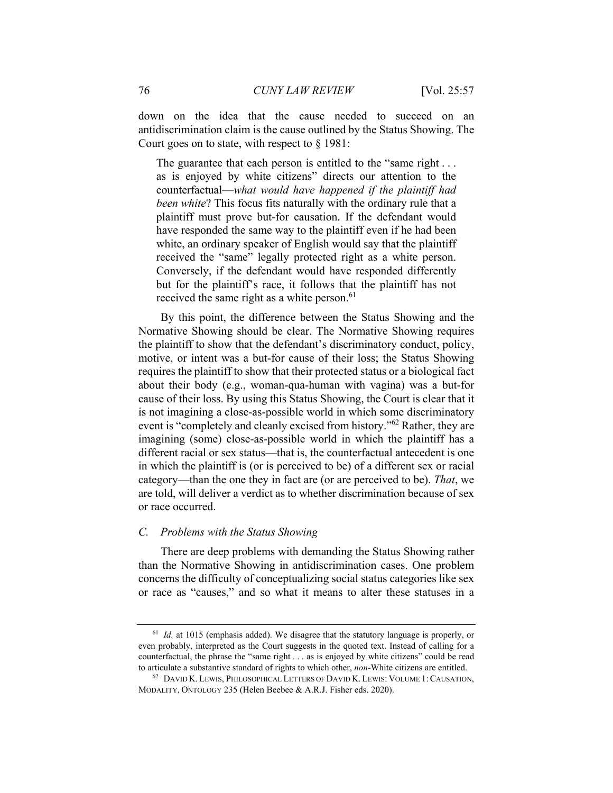down on the idea that the cause needed to succeed on an antidiscrimination claim is the cause outlined by the Status Showing. The Court goes on to state, with respect to § 1981:

The guarantee that each person is entitled to the "same right . . . as is enjoyed by white citizens" directs our attention to the counterfactual—*what would have happened if the plaintiff had been white*? This focus fits naturally with the ordinary rule that a plaintiff must prove but-for causation. If the defendant would have responded the same way to the plaintiff even if he had been white, an ordinary speaker of English would say that the plaintiff received the "same" legally protected right as a white person. Conversely, if the defendant would have responded differently but for the plaintiff's race, it follows that the plaintiff has not received the same right as a white person.<sup>61</sup>

By this point, the difference between the Status Showing and the Normative Showing should be clear. The Normative Showing requires the plaintiff to show that the defendant's discriminatory conduct, policy, motive, or intent was a but-for cause of their loss; the Status Showing requires the plaintiff to show that their protected status or a biological fact about their body (e.g., woman-qua-human with vagina) was a but-for cause of their loss. By using this Status Showing, the Court is clear that it is not imagining a close-as-possible world in which some discriminatory event is "completely and cleanly excised from history."62 Rather, they are imagining (some) close-as-possible world in which the plaintiff has a different racial or sex status—that is, the counterfactual antecedent is one in which the plaintiff is (or is perceived to be) of a different sex or racial category—than the one they in fact are (or are perceived to be). *That*, we are told, will deliver a verdict as to whether discrimination because of sex or race occurred.

#### *C. Problems with the Status Showing*

There are deep problems with demanding the Status Showing rather than the Normative Showing in antidiscrimination cases. One problem concerns the difficulty of conceptualizing social status categories like sex or race as "causes," and so what it means to alter these statuses in a

<sup>&</sup>lt;sup>61</sup> *Id.* at 1015 (emphasis added). We disagree that the statutory language is properly, or even probably, interpreted as the Court suggests in the quoted text. Instead of calling for a counterfactual, the phrase the "same right . . . as is enjoyed by white citizens" could be read to articulate a substantive standard of rights to which other, *non*-White citizens are entitled. 62 DAVID K. LEWIS, PHILOSOPHICAL LETTERS OF DAVID K. LEWIS: VOLUME 1:CAUSATION,

MODALITY, ONTOLOGY 235 (Helen Beebee & A.R.J. Fisher eds. 2020).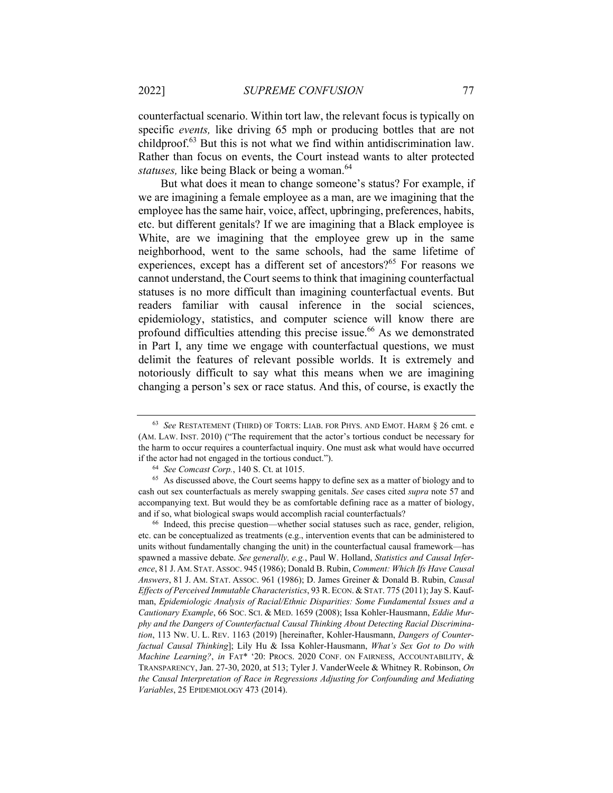2022] *SUPREME CONFUSION* 77

counterfactual scenario. Within tort law, the relevant focus is typically on specific *events,* like driving 65 mph or producing bottles that are not childproof.63 But this is not what we find within antidiscrimination law. Rather than focus on events, the Court instead wants to alter protected *statuses*, like being Black or being a woman.<sup>64</sup>

But what does it mean to change someone's status? For example, if we are imagining a female employee as a man, are we imagining that the employee has the same hair, voice, affect, upbringing, preferences, habits, etc. but different genitals? If we are imagining that a Black employee is White, are we imagining that the employee grew up in the same neighborhood, went to the same schools, had the same lifetime of experiences, except has a different set of ancestors?<sup>65</sup> For reasons we cannot understand, the Court seems to think that imagining counterfactual statuses is no more difficult than imagining counterfactual events. But readers familiar with causal inference in the social sciences, epidemiology, statistics, and computer science will know there are profound difficulties attending this precise issue.<sup>66</sup> As we demonstrated in Part I, any time we engage with counterfactual questions, we must delimit the features of relevant possible worlds. It is extremely and notoriously difficult to say what this means when we are imagining changing a person's sex or race status. And this, of course, is exactly the

etc. can be conceptualized as treatments (e.g., intervention events that can be administered to units without fundamentally changing the unit) in the counterfactual causal framework—has spawned a massive debate. *See generally, e.g.*, Paul W. Holland, *Statistics and Causal Inference*, 81 J. AM. STAT. ASSOC. 945 (1986); Donald B. Rubin, *Comment: Which Ifs Have Causal Answers*, 81 J. AM. STAT. ASSOC. 961 (1986); D. James Greiner & Donald B. Rubin, *Causal Effects of Perceived Immutable Characteristics*, 93 R. ECON. &STAT. 775 (2011); Jay S. Kaufman, *Epidemiologic Analysis of Racial/Ethnic Disparities: Some Fundamental Issues and a Cautionary Example*, 66 SOC. SCI. & MED. 1659 (2008); Issa Kohler-Hausmann, *Eddie Murphy and the Dangers of Counterfactual Causal Thinking About Detecting Racial Discrimination*, 113 NW. U. L. REV. 1163 (2019) [hereinafter, Kohler-Hausmann, *Dangers of Counterfactual Causal Thinking*]; Lily Hu & Issa Kohler-Hausmann, *What's Sex Got to Do with Machine Learning?*, *in* FAT\* '20: PROCS. 2020 CONF. ON FAIRNESS, ACCOUNTABILITY, & TRANSPARENCY, Jan. 27-30, 2020, at 513; Tyler J. VanderWeele & Whitney R. Robinson, *On the Causal Interpretation of Race in Regressions Adjusting for Confounding and Mediating Variables*, 25 EPIDEMIOLOGY 473 (2014).

<sup>63</sup> *See* RESTATEMENT (THIRD) OF TORTS: LIAB. FOR PHYS. AND EMOT. HARM § 26 cmt. e (AM. LAW. INST. 2010) ("The requirement that the actor's tortious conduct be necessary for the harm to occur requires a counterfactual inquiry. One must ask what would have occurred

if the actor had not engaged in the tortious conduct."). 64 *See Comcast Corp.*, 140 S. Ct. at 1015. 65 As discussed above, the Court seems happy to define sex as a matter of biology and to cash out sex counterfactuals as merely swapping genitals. *See* cases cited *supra* note 57 and accompanying text. But would they be as comfortable defining race as a matter of biology, and if so, what biological swaps would accomplish racial counterfactuals?<br><sup>66</sup> Indeed, this precise question—whether social statuses such as race, gender, religion,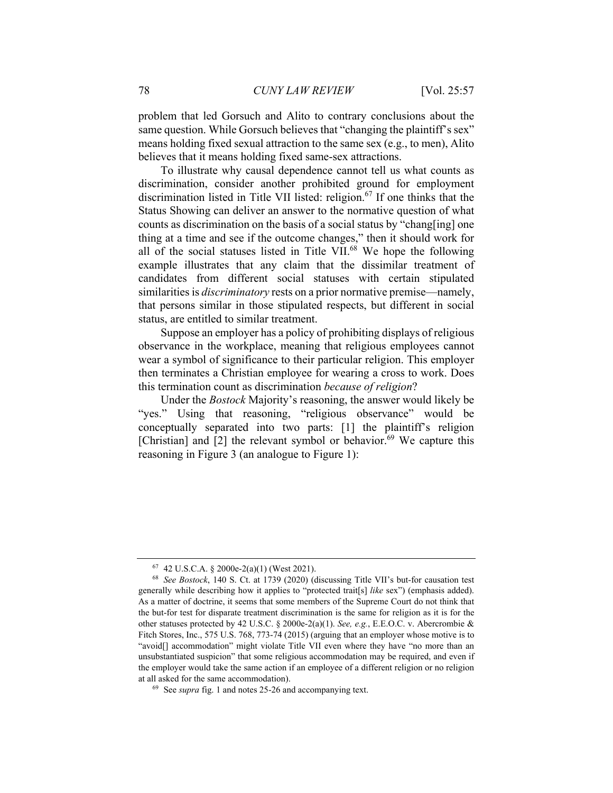problem that led Gorsuch and Alito to contrary conclusions about the same question. While Gorsuch believes that "changing the plaintiff's sex" means holding fixed sexual attraction to the same sex (e.g., to men), Alito believes that it means holding fixed same-sex attractions.

To illustrate why causal dependence cannot tell us what counts as discrimination, consider another prohibited ground for employment discrimination listed in Title VII listed: religion.<sup>67</sup> If one thinks that the Status Showing can deliver an answer to the normative question of what counts as discrimination on the basis of a social status by "chang[ing] one thing at a time and see if the outcome changes," then it should work for all of the social statuses listed in Title VII. $^{68}$  We hope the following example illustrates that any claim that the dissimilar treatment of candidates from different social statuses with certain stipulated similarities is *discriminatory* rests on a prior normative premise—namely, that persons similar in those stipulated respects, but different in social status, are entitled to similar treatment.

Suppose an employer has a policy of prohibiting displays of religious observance in the workplace, meaning that religious employees cannot wear a symbol of significance to their particular religion. This employer then terminates a Christian employee for wearing a cross to work. Does this termination count as discrimination *because of religion*?

Under the *Bostock* Majority's reasoning, the answer would likely be "yes." Using that reasoning, "religious observance" would be conceptually separated into two parts: [1] the plaintiff's religion [Christian] and  $[2]$  the relevant symbol or behavior.<sup>69</sup> We capture this reasoning in Figure 3 (an analogue to Figure 1):

 $67$  42 U.S.C.A. § 2000e-2(a)(1) (West 2021).

<sup>68</sup> *See Bostock*, 140 S. Ct. at 1739 (2020) (discussing Title VII's but-for causation test generally while describing how it applies to "protected trait[s] *like* sex") (emphasis added). As a matter of doctrine, it seems that some members of the Supreme Court do not think that the but-for test for disparate treatment discrimination is the same for religion as it is for the other statuses protected by 42 U.S.C. § 2000e-2(a)(1). *See, e.g.*, E.E.O.C. v. Abercrombie & Fitch Stores, Inc., 575 U.S. 768, 773-74 (2015) (arguing that an employer whose motive is to "avoid[] accommodation" might violate Title VII even where they have "no more than an unsubstantiated suspicion" that some religious accommodation may be required, and even if the employer would take the same action if an employee of a different religion or no religion at all asked for the same accommodation). 69 See *supra* fig. 1 and notes 25-26 and accompanying text.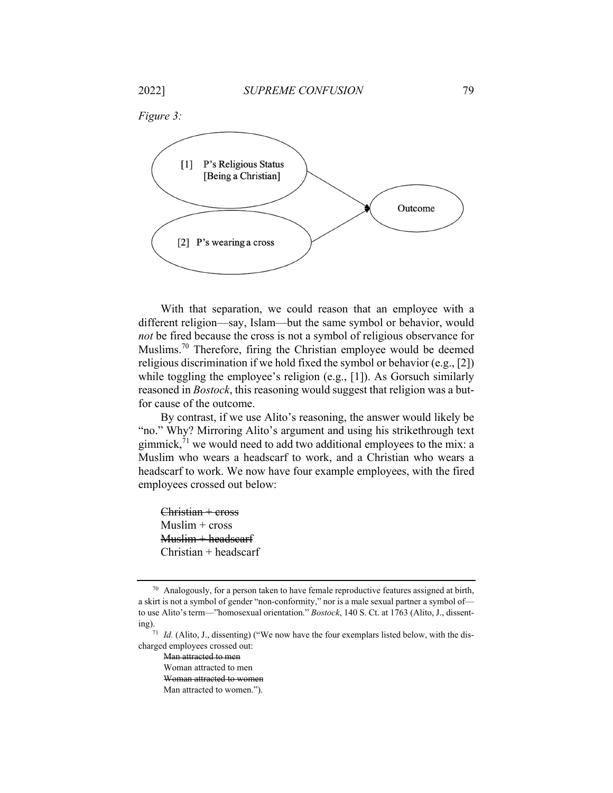

With that separation, we could reason that an employee with a different religion—say, Islam—but the same symbol or behavior, would *not* be fired because the cross is not a symbol of religious observance for Muslims.<sup>70</sup> Therefore, firing the Christian employee would be deemed religious discrimination if we hold fixed the symbol or behavior (e.g., [2]) while toggling the employee's religion (e.g., [1]). As Gorsuch similarly reasoned in *Bostock*, this reasoning would suggest that religion was a butfor cause of the outcome.

By contrast, if we use Alito's reasoning, the answer would likely be "no." Why? Mirroring Alito's argument and using his strikethrough text gimmick, $^{71}$  we would need to add two additional employees to the mix: a Muslim who wears a headscarf to work, and a Christian who wears a headscarf to work. We now have four example employees, with the fired employees crossed out below:

 $Christian + cross$ Muslim + cross  $Muslim + headers$ Christian + headscarf

 $70$  Analogously, for a person taken to have female reproductive features assigned at birth, a skirt is not a symbol of gender "non-conformity," nor is a male sexual partner a symbol of to use Alito's term—"homosexual orientation." *Bostock*, 140 S. Ct. at 1763 (Alito, J., dissenting). 71 *Id.* (Alito, J., dissenting) ("We now have the four exemplars listed below, with the dis-

charged employees crossed out:

Man attracted to men

Woman attracted to men

Woman attracted to women

Man attracted to women.").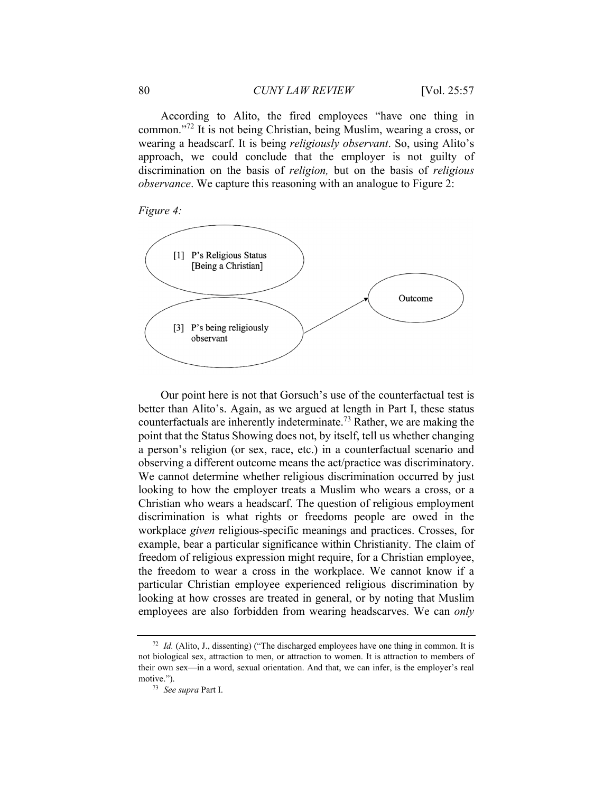According to Alito, the fired employees "have one thing in common."72 It is not being Christian, being Muslim, wearing a cross, or wearing a headscarf. It is being *religiously observant*. So, using Alito's approach, we could conclude that the employer is not guilty of discrimination on the basis of *religion,* but on the basis of *religious observance*. We capture this reasoning with an analogue to Figure 2:





Our point here is not that Gorsuch's use of the counterfactual test is better than Alito's. Again, as we argued at length in Part I, these status counterfactuals are inherently indeterminate.73 Rather, we are making the point that the Status Showing does not, by itself, tell us whether changing a person's religion (or sex, race, etc.) in a counterfactual scenario and observing a different outcome means the act/practice was discriminatory. We cannot determine whether religious discrimination occurred by just looking to how the employer treats a Muslim who wears a cross, or a Christian who wears a headscarf. The question of religious employment discrimination is what rights or freedoms people are owed in the workplace *given* religious-specific meanings and practices. Crosses, for example, bear a particular significance within Christianity. The claim of freedom of religious expression might require, for a Christian employee, the freedom to wear a cross in the workplace. We cannot know if a particular Christian employee experienced religious discrimination by looking at how crosses are treated in general, or by noting that Muslim employees are also forbidden from wearing headscarves. We can *only*

<sup>72</sup> *Id.* (Alito, J., dissenting) ("The discharged employees have one thing in common. It is not biological sex, attraction to men, or attraction to women. It is attraction to members of their own sex—in a word, sexual orientation. And that, we can infer, is the employer's real motive.").<br><sup>73</sup> *See supra* Part I.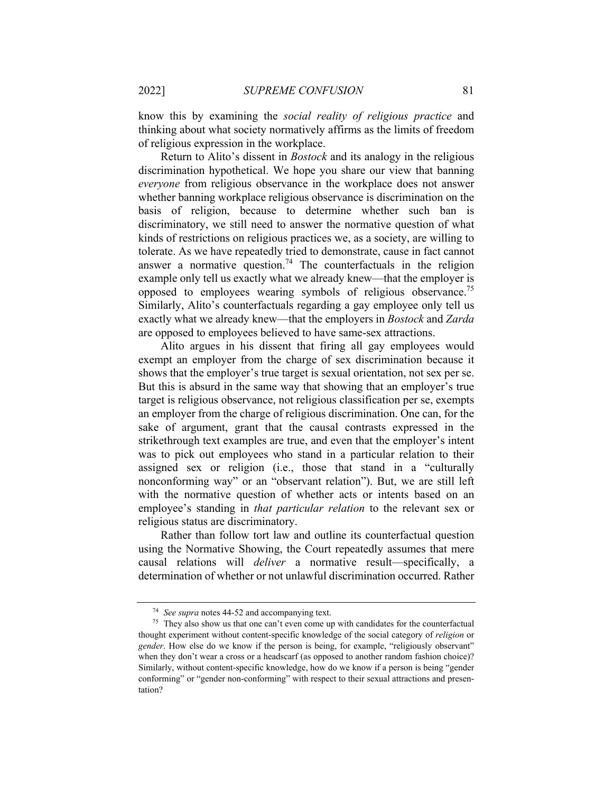know this by examining the *social reality of religious practice* and thinking about what society normatively affirms as the limits of freedom of religious expression in the workplace.

Return to Alito's dissent in *Bostock* and its analogy in the religious discrimination hypothetical. We hope you share our view that banning *everyone* from religious observance in the workplace does not answer whether banning workplace religious observance is discrimination on the basis of religion, because to determine whether such ban is discriminatory, we still need to answer the normative question of what kinds of restrictions on religious practices we, as a society, are willing to tolerate. As we have repeatedly tried to demonstrate, cause in fact cannot answer a normative question.<sup>74</sup> The counterfactuals in the religion example only tell us exactly what we already knew—that the employer is opposed to employees wearing symbols of religious observance.<sup>75</sup> Similarly, Alito's counterfactuals regarding a gay employee only tell us exactly what we already knew—that the employers in *Bostock* and *Zarda*  are opposed to employees believed to have same-sex attractions.

Alito argues in his dissent that firing all gay employees would exempt an employer from the charge of sex discrimination because it shows that the employer's true target is sexual orientation, not sex per se. But this is absurd in the same way that showing that an employer's true target is religious observance, not religious classification per se, exempts an employer from the charge of religious discrimination. One can, for the sake of argument, grant that the causal contrasts expressed in the strikethrough text examples are true, and even that the employer's intent was to pick out employees who stand in a particular relation to their assigned sex or religion (i.e., those that stand in a "culturally nonconforming way" or an "observant relation"). But, we are still left with the normative question of whether acts or intents based on an employee's standing in *that particular relation* to the relevant sex or religious status are discriminatory.

Rather than follow tort law and outline its counterfactual question using the Normative Showing, the Court repeatedly assumes that mere causal relations will *deliver* a normative result—specifically, a determination of whether or not unlawful discrimination occurred. Rather

<sup>&</sup>lt;sup>74</sup> See supra notes 44-52 and accompanying text.<br><sup>75</sup> They also show us that one can't even come up with candidates for the counterfactual thought experiment without content-specific knowledge of the social category of *religion* or *gender*. How else do we know if the person is being, for example, "religiously observant" when they don't wear a cross or a headscarf (as opposed to another random fashion choice)? Similarly, without content-specific knowledge, how do we know if a person is being "gender conforming" or "gender non-conforming" with respect to their sexual attractions and presentation?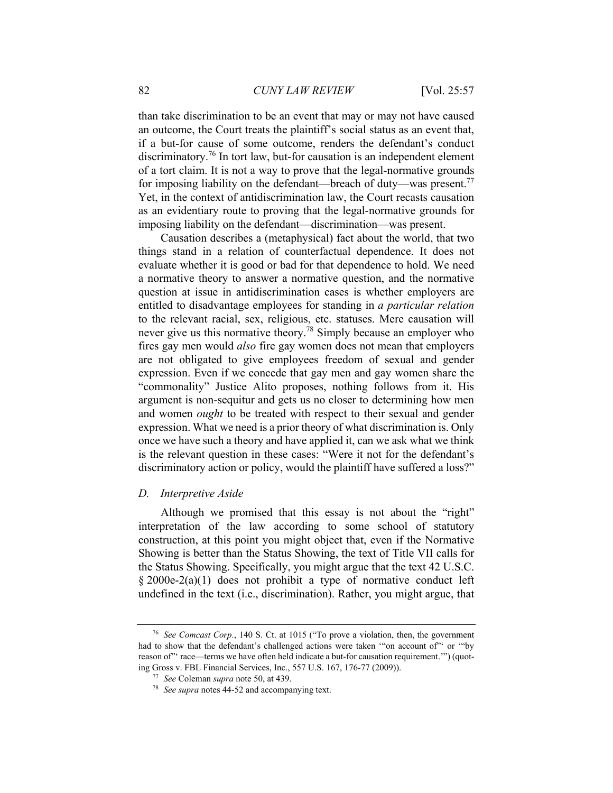than take discrimination to be an event that may or may not have caused an outcome, the Court treats the plaintiff's social status as an event that, if a but-for cause of some outcome, renders the defendant's conduct discriminatory.76 In tort law, but-for causation is an independent element of a tort claim. It is not a way to prove that the legal-normative grounds for imposing liability on the defendant—breach of duty—was present.<sup>77</sup> Yet, in the context of antidiscrimination law, the Court recasts causation as an evidentiary route to proving that the legal-normative grounds for imposing liability on the defendant—discrimination—was present.

Causation describes a (metaphysical) fact about the world, that two things stand in a relation of counterfactual dependence. It does not evaluate whether it is good or bad for that dependence to hold. We need a normative theory to answer a normative question, and the normative question at issue in antidiscrimination cases is whether employers are entitled to disadvantage employees for standing in *a particular relation* to the relevant racial, sex, religious, etc. statuses. Mere causation will never give us this normative theory.78 Simply because an employer who fires gay men would *also* fire gay women does not mean that employers are not obligated to give employees freedom of sexual and gender expression. Even if we concede that gay men and gay women share the "commonality" Justice Alito proposes, nothing follows from it. His argument is non-sequitur and gets us no closer to determining how men and women *ought* to be treated with respect to their sexual and gender expression. What we need is a prior theory of what discrimination is. Only once we have such a theory and have applied it, can we ask what we think is the relevant question in these cases: "Were it not for the defendant's discriminatory action or policy, would the plaintiff have suffered a loss?"

#### *D. Interpretive Aside*

Although we promised that this essay is not about the "right" interpretation of the law according to some school of statutory construction, at this point you might object that, even if the Normative Showing is better than the Status Showing, the text of Title VII calls for the Status Showing. Specifically, you might argue that the text 42 U.S.C. § 2000e-2(a)(1) does not prohibit a type of normative conduct left undefined in the text (i.e., discrimination). Rather, you might argue, that

<sup>76</sup> *See Comcast Corp.*, 140 S. Ct. at 1015 ("To prove a violation, then, the government had to show that the defendant's challenged actions were taken "on account of" or "by reason of" race—terms we have often held indicate a but-for causation requirement."") (quoting Gross v. FBL Financial Services, Inc., 557 U.S. 167, 176-77 (2009)). 77 *See* Coleman *supra* note 50, at 439. 78 *See supra* notes 44-52 and accompanying text.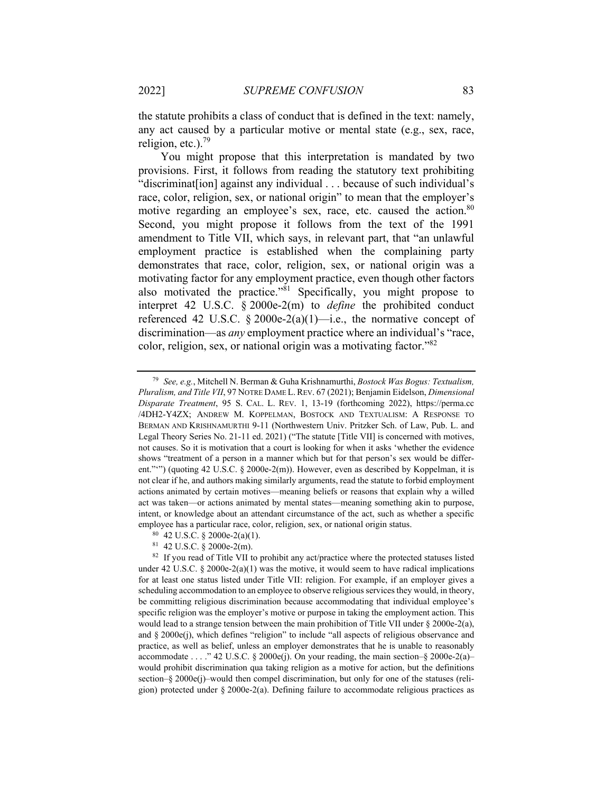the statute prohibits a class of conduct that is defined in the text: namely, any act caused by a particular motive or mental state (e.g., sex, race, religion, etc.). $^{79}$ 

You might propose that this interpretation is mandated by two provisions. First, it follows from reading the statutory text prohibiting "discriminat[ion] against any individual . . . because of such individual's race, color, religion, sex, or national origin" to mean that the employer's motive regarding an employee's sex, race, etc. caused the action.<sup>80</sup> Second, you might propose it follows from the text of the 1991 amendment to Title VII, which says, in relevant part, that "an unlawful employment practice is established when the complaining party demonstrates that race, color, religion, sex, or national origin was a motivating factor for any employment practice, even though other factors also motivated the practice."<sup>81</sup> Specifically, you might propose to interpret 42 U.S.C. § 2000e-2(m) to *define* the prohibited conduct referenced 42 U.S.C. § 2000e-2(a)(1)—i.e., the normative concept of discrimination—as *any* employment practice where an individual's "race, color, religion, sex, or national origin was a motivating factor."82

81 42 U.S.C. § 2000e-2(m).

<sup>79</sup> *See, e.g.*, Mitchell N. Berman & Guha Krishnamurthi, *Bostock Was Bogus: Textualism, Pluralism, and Title VII*, 97 NOTRE DAME L.REV. 67 (2021); Benjamin Eidelson, *Dimensional Disparate Treatment*, 95 S. CAL. L. REV. 1, 13-19 (forthcoming 2022), https://perma.cc /4DH2-Y4ZX; ANDREW M. KOPPELMAN, BOSTOCK AND TEXTUALISM: A RESPONSE TO BERMAN AND KRISHNAMURTHI 9-11 (Northwestern Univ. Pritzker Sch. of Law, Pub. L. and Legal Theory Series No. 21-11 ed. 2021) ("The statute [Title VII] is concerned with motives, not causes. So it is motivation that a court is looking for when it asks 'whether the evidence shows "treatment of a person in a manner which but for that person's sex would be different."") (quoting 42 U.S.C.  $\S$  2000e-2(m)). However, even as described by Koppelman, it is not clear if he, and authors making similarly arguments, read the statute to forbid employment actions animated by certain motives—meaning beliefs or reasons that explain why a willed act was taken—or actions animated by mental states—meaning something akin to purpose, intent, or knowledge about an attendant circumstance of the act, such as whether a specific employee has a particular race, color, religion, sex, or national origin status. <sup>80</sup> 42 U.S.C. § 2000e-2(a)(1).

<sup>&</sup>lt;sup>82</sup> If you read of Title VII to prohibit any act/practice where the protected statuses listed under 42 U.S.C. § 2000e-2(a)(1) was the motive, it would seem to have radical implications for at least one status listed under Title VII: religion. For example, if an employer gives a scheduling accommodation to an employee to observe religious services they would, in theory, be committing religious discrimination because accommodating that individual employee's specific religion was the employer's motive or purpose in taking the employment action. This would lead to a strange tension between the main prohibition of Title VII under  $\S 2000e-2(a)$ , and  $\S 2000e(i)$ , which defines "religion" to include "all aspects of religious observance and practice, as well as belief, unless an employer demonstrates that he is unable to reasonably accommodate . . . . " 42 U.S.C. § 2000e(j). On your reading, the main section–§ 2000e-2(a)– would prohibit discrimination qua taking religion as a motive for action, but the definitions section–§ 2000e(j)–would then compel discrimination, but only for one of the statuses (religion) protected under § 2000e-2(a). Defining failure to accommodate religious practices as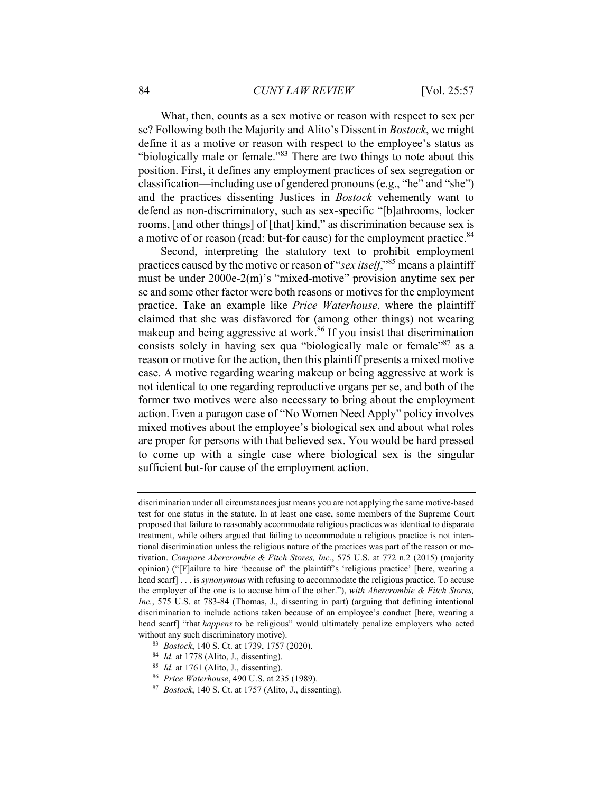What, then, counts as a sex motive or reason with respect to sex per se? Following both the Majority and Alito's Dissent in *Bostock*, we might define it as a motive or reason with respect to the employee's status as "biologically male or female."83 There are two things to note about this position. First, it defines any employment practices of sex segregation or classification—including use of gendered pronouns (e.g., "he" and "she") and the practices dissenting Justices in *Bostock* vehemently want to defend as non-discriminatory, such as sex-specific "[b]athrooms, locker rooms, [and other things] of [that] kind," as discrimination because sex is a motive of or reason (read: but-for cause) for the employment practice.<sup>84</sup>

Second, interpreting the statutory text to prohibit employment practices caused by the motive or reason of "*sex itself*,"85 means a plaintiff must be under 2000e-2(m)'s "mixed-motive" provision anytime sex per se and some other factor were both reasons or motives for the employment practice. Take an example like *Price Waterhouse*, where the plaintiff claimed that she was disfavored for (among other things) not wearing makeup and being aggressive at work.<sup>86</sup> If you insist that discrimination consists solely in having sex qua "biologically male or female"<sup>87</sup> as a reason or motive for the action, then this plaintiff presents a mixed motive case. A motive regarding wearing makeup or being aggressive at work is not identical to one regarding reproductive organs per se, and both of the former two motives were also necessary to bring about the employment action. Even a paragon case of "No Women Need Apply" policy involves mixed motives about the employee's biological sex and about what roles are proper for persons with that believed sex. You would be hard pressed to come up with a single case where biological sex is the singular sufficient but-for cause of the employment action.

- 
- 
- 

discrimination under all circumstances just means you are not applying the same motive-based test for one status in the statute. In at least one case, some members of the Supreme Court proposed that failure to reasonably accommodate religious practices was identical to disparate treatment, while others argued that failing to accommodate a religious practice is not intentional discrimination unless the religious nature of the practices was part of the reason or motivation. *Compare Abercrombie & Fitch Stores, Inc.*, 575 U.S. at 772 n.2 (2015) (majority opinion) ("[F]ailure to hire 'because of' the plaintiff's 'religious practice' [here, wearing a head scarf] . . . is *synonymous* with refusing to accommodate the religious practice. To accuse the employer of the one is to accuse him of the other."), *with Abercrombie & Fitch Stores, Inc.*, 575 U.S. at 783-84 (Thomas, J., dissenting in part) (arguing that defining intentional discrimination to include actions taken because of an employee's conduct [here, wearing a head scarf] "that *happens* to be religious" would ultimately penalize employers who acted without any such discriminatory motive).<br><sup>83</sup> *Bostock*, 140 S. Ct. at 1739, 1757 (2020).<br><sup>84</sup> *Id.* at 1778 (Alito, J., dissenting).<br><sup>85</sup> *Id.* at 1761 (Alito, J., dissenting).<br><sup>85</sup> *Price Waterhouse*, 490 U.S. at 235 (1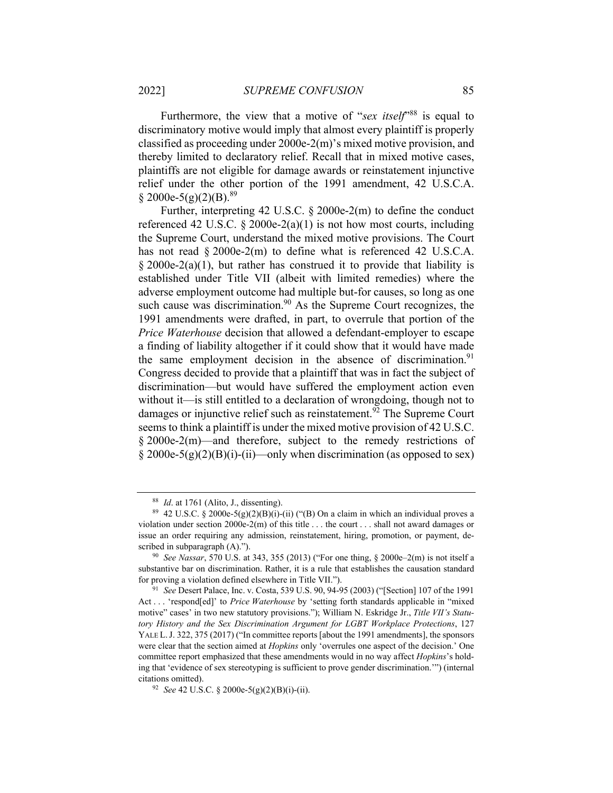Furthermore, the view that a motive of "*sex itself*<sup>988</sup> is equal to discriminatory motive would imply that almost every plaintiff is properly classified as proceeding under 2000e-2(m)'s mixed motive provision, and thereby limited to declaratory relief. Recall that in mixed motive cases, plaintiffs are not eligible for damage awards or reinstatement injunctive relief under the other portion of the 1991 amendment, 42 U.S.C.A.  $\S$  2000e-5(g)(2)(B).<sup>89</sup>

Further, interpreting 42 U.S.C.  $\S 2000e-2(m)$  to define the conduct referenced 42 U.S.C.  $\S 2000e-2(a)(1)$  is not how most courts, including the Supreme Court, understand the mixed motive provisions. The Court has not read § 2000e-2(m) to define what is referenced 42 U.S.C.A.  $§$  2000e-2(a)(1), but rather has construed it to provide that liability is established under Title VII (albeit with limited remedies) where the adverse employment outcome had multiple but-for causes, so long as one such cause was discrimination.<sup>90</sup> As the Supreme Court recognizes, the 1991 amendments were drafted, in part, to overrule that portion of the *Price Waterhouse* decision that allowed a defendant-employer to escape a finding of liability altogether if it could show that it would have made the same employment decision in the absence of discrimination. $91$ Congress decided to provide that a plaintiff that was in fact the subject of discrimination—but would have suffered the employment action even without it—is still entitled to a declaration of wrongdoing, though not to damages or injunctive relief such as reinstatement.<sup>92</sup> The Supreme Court seems to think a plaintiff is under the mixed motive provision of 42 U.S.C. § 2000e-2(m)—and therefore, subject to the remedy restrictions of  $\S 2000e-5(g)(2)(B)(i)-(ii)$ —only when discrimination (as opposed to sex)

<sup>&</sup>lt;sup>88</sup> *Id.* at 1761 (Alito, J., dissenting).<br><sup>89</sup> 42 U.S.C. § 2000e-5(g)(2)(B)(i)-(ii) ("(B) On a claim in which an individual proves a violation under section 2000e-2(m) of this title . . . the court . . . shall not award damages or issue an order requiring any admission, reinstatement, hiring, promotion, or payment, described in subparagraph (A)."). 90 *See Nassar*, 570 U.S. at 343, 355 (2013) ("For one thing, § 2000e–2(m) is not itself a

substantive bar on discrimination. Rather, it is a rule that establishes the causation standard for proving a violation defined elsewhere in Title VII."). 91 *See* Desert Palace, Inc. v. Costa, 539 U.S. 90, 94-95 (2003) ("[Section] 107 of the 1991

Act . . . 'respond[ed]' to *Price Waterhouse* by 'setting forth standards applicable in "mixed motive" cases' in two new statutory provisions."); William N. Eskridge Jr., *Title VII's Statutory History and the Sex Discrimination Argument for LGBT Workplace Protections*, 127 YALE L. J. 322, 375 (2017) ("In committee reports [about the 1991 amendments], the sponsors were clear that the section aimed at *Hopkins* only 'overrules one aspect of the decision.' One committee report emphasized that these amendments would in no way affect *Hopkins*'s holding that 'evidence of sex stereotyping is sufficient to prove gender discrimination.'") (internal citations omitted). 92 *See* 42 U.S.C. § 2000e-5(g)(2)(B)(i)-(ii).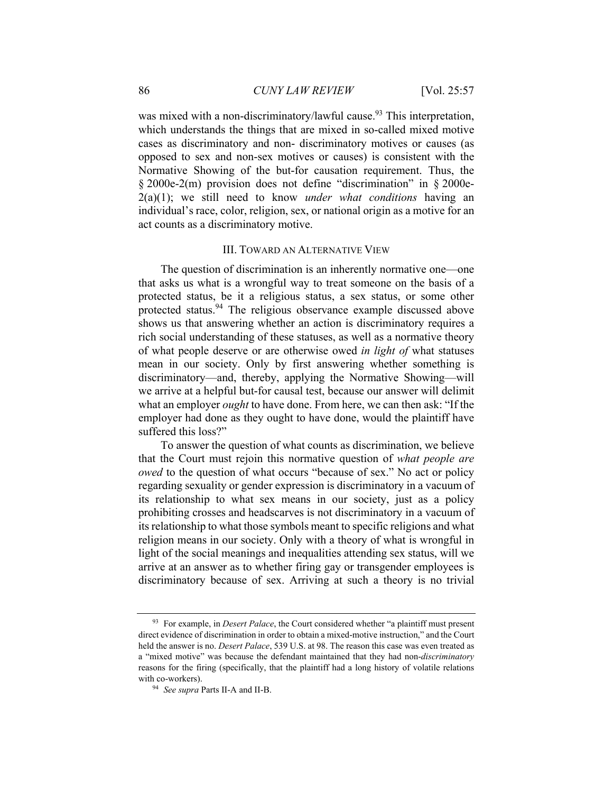was mixed with a non-discriminatory/lawful cause.<sup>93</sup> This interpretation, which understands the things that are mixed in so-called mixed motive cases as discriminatory and non- discriminatory motives or causes (as opposed to sex and non-sex motives or causes) is consistent with the Normative Showing of the but-for causation requirement. Thus, the § 2000e-2(m) provision does not define "discrimination" in § 2000e-2(a)(1); we still need to know *under what conditions* having an individual's race, color, religion, sex, or national origin as a motive for an act counts as a discriminatory motive.

### III. TOWARD AN ALTERNATIVE VIEW

The question of discrimination is an inherently normative one—one that asks us what is a wrongful way to treat someone on the basis of a protected status, be it a religious status, a sex status, or some other protected status.<sup>94</sup> The religious observance example discussed above shows us that answering whether an action is discriminatory requires a rich social understanding of these statuses, as well as a normative theory of what people deserve or are otherwise owed *in light of* what statuses mean in our society. Only by first answering whether something is discriminatory—and, thereby, applying the Normative Showing—will we arrive at a helpful but-for causal test, because our answer will delimit what an employer *ought* to have done. From here, we can then ask: "If the employer had done as they ought to have done, would the plaintiff have suffered this loss?"

To answer the question of what counts as discrimination, we believe that the Court must rejoin this normative question of *what people are owed* to the question of what occurs "because of sex." No act or policy regarding sexuality or gender expression is discriminatory in a vacuum of its relationship to what sex means in our society, just as a policy prohibiting crosses and headscarves is not discriminatory in a vacuum of its relationship to what those symbols meant to specific religions and what religion means in our society. Only with a theory of what is wrongful in light of the social meanings and inequalities attending sex status, will we arrive at an answer as to whether firing gay or transgender employees is discriminatory because of sex. Arriving at such a theory is no trivial

<sup>93</sup> For example, in *Desert Palace*, the Court considered whether "a plaintiff must present direct evidence of discrimination in order to obtain a mixed-motive instruction," and the Court held the answer is no. *Desert Palace*, 539 U.S. at 98. The reason this case was even treated as a "mixed motive" was because the defendant maintained that they had non-*discriminatory* reasons for the firing (specifically, that the plaintiff had a long history of volatile relations with co-workers). 94 *See supra* Parts II-A and II-B.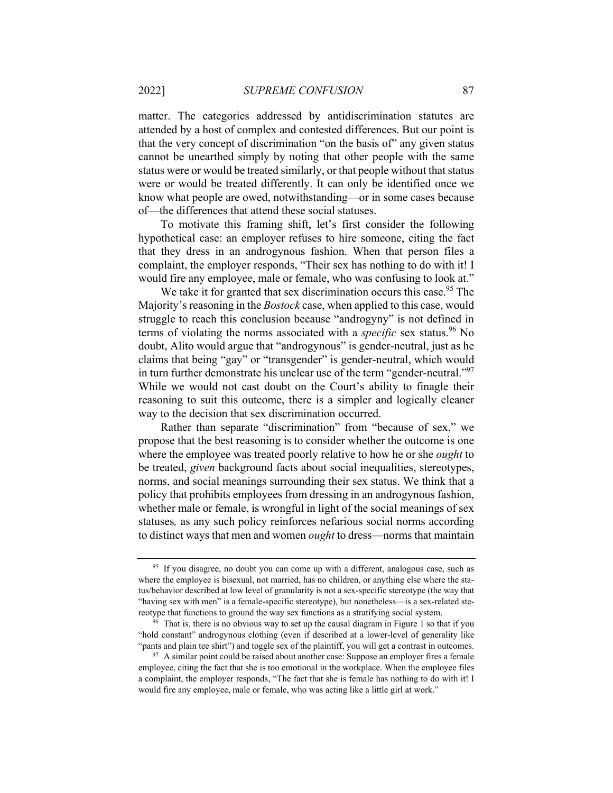matter. The categories addressed by antidiscrimination statutes are attended by a host of complex and contested differences. But our point is that the very concept of discrimination "on the basis of" any given status cannot be unearthed simply by noting that other people with the same status were or would be treated similarly, or that people without that status were or would be treated differently. It can only be identified once we know what people are owed, notwithstanding—or in some cases because of—the differences that attend these social statuses.

To motivate this framing shift, let's first consider the following hypothetical case: an employer refuses to hire someone, citing the fact that they dress in an androgynous fashion. When that person files a complaint, the employer responds, "Their sex has nothing to do with it! I would fire any employee, male or female, who was confusing to look at."

We take it for granted that sex discrimination occurs this case.<sup>95</sup> The Majority's reasoning in the *Bostock* case, when applied to this case, would struggle to reach this conclusion because "androgyny" is not defined in terms of violating the norms associated with a *specific* sex status.<sup>96</sup> No doubt, Alito would argue that "androgynous" is gender-neutral, just as he claims that being "gay" or "transgender" is gender-neutral, which would in turn further demonstrate his unclear use of the term "gender-neutral."<sup>97</sup> While we would not cast doubt on the Court's ability to finagle their reasoning to suit this outcome, there is a simpler and logically cleaner way to the decision that sex discrimination occurred.

Rather than separate "discrimination" from "because of sex," we propose that the best reasoning is to consider whether the outcome is one where the employee was treated poorly relative to how he or she *ought* to be treated, *given* background facts about social inequalities, stereotypes, norms, and social meanings surrounding their sex status. We think that a policy that prohibits employees from dressing in an androgynous fashion, whether male or female, is wrongful in light of the social meanings of sex statuses*,* as any such policy reinforces nefarious social norms according to distinct ways that men and women *ought* to dress—norms that maintain

<sup>&</sup>lt;sup>95</sup> If you disagree, no doubt you can come up with a different, analogous case, such as where the employee is bisexual, not married, has no children, or anything else where the status/behavior described at low level of granularity is not a sex-specific stereotype (the way that "having sex with men" is a female-specific stereotype), but nonetheless—is a sex-related stereotype that functions to ground the way sex functions as a stratifying social system.<br><sup>96</sup> That is, there is no obvious way to set up the causal diagram in Figure 1 so that if you

<sup>&</sup>quot;hold constant" androgynous clothing (even if described at a lower-level of generality like "pants and plain tee shirt") and toggle sex of the plaintiff, you will get a contrast in outcomes.<br><sup>97</sup> A similar point could be raised about another case: Suppose an employer fires a female

employee, citing the fact that she is too emotional in the workplace. When the employee files a complaint, the employer responds, "The fact that she is female has nothing to do with it! I would fire any employee, male or female, who was acting like a little girl at work."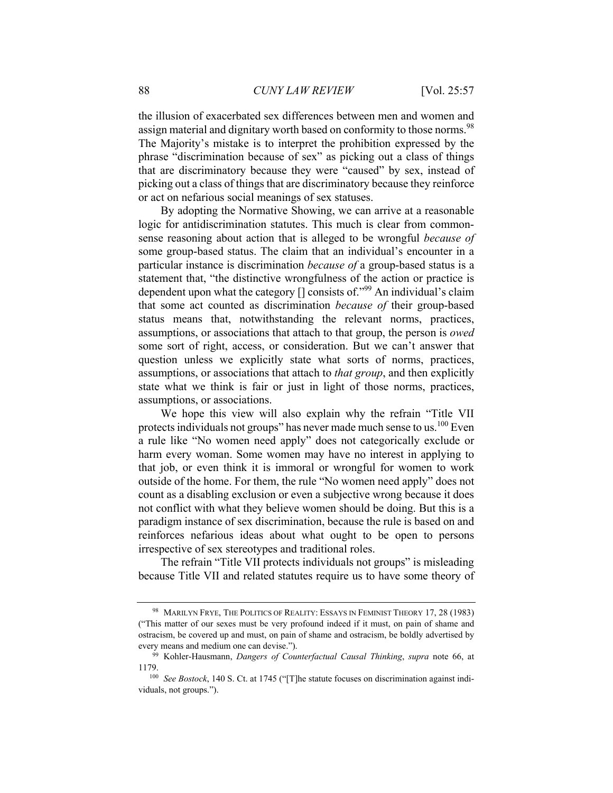the illusion of exacerbated sex differences between men and women and assign material and dignitary worth based on conformity to those norms.<sup>98</sup> The Majority's mistake is to interpret the prohibition expressed by the phrase "discrimination because of sex" as picking out a class of things that are discriminatory because they were "caused" by sex, instead of picking out a class of things that are discriminatory because they reinforce or act on nefarious social meanings of sex statuses.

By adopting the Normative Showing, we can arrive at a reasonable logic for antidiscrimination statutes. This much is clear from commonsense reasoning about action that is alleged to be wrongful *because of* some group-based status. The claim that an individual's encounter in a particular instance is discrimination *because of* a group-based status is a statement that, "the distinctive wrongfulness of the action or practice is dependent upon what the category [] consists of."<sup>99</sup> An individual's claim that some act counted as discrimination *because of* their group-based status means that, notwithstanding the relevant norms, practices, assumptions, or associations that attach to that group, the person is *owed* some sort of right, access, or consideration. But we can't answer that question unless we explicitly state what sorts of norms, practices, assumptions, or associations that attach to *that group*, and then explicitly state what we think is fair or just in light of those norms, practices, assumptions, or associations.

We hope this view will also explain why the refrain "Title VII protects individuals not groups" has never made much sense to us.<sup>100</sup> Even a rule like "No women need apply" does not categorically exclude or harm every woman. Some women may have no interest in applying to that job, or even think it is immoral or wrongful for women to work outside of the home. For them, the rule "No women need apply" does not count as a disabling exclusion or even a subjective wrong because it does not conflict with what they believe women should be doing. But this is a paradigm instance of sex discrimination, because the rule is based on and reinforces nefarious ideas about what ought to be open to persons irrespective of sex stereotypes and traditional roles.

The refrain "Title VII protects individuals not groups" is misleading because Title VII and related statutes require us to have some theory of

<sup>98</sup> MARILYN FRYE, THE POLITICS OF REALITY: ESSAYS IN FEMINIST THEORY 17, 28 (1983) ("This matter of our sexes must be very profound indeed if it must, on pain of shame and ostracism, be covered up and must, on pain of shame and ostracism, be boldly advertised by every means and medium one can devise."). 99 Kohler-Hausmann, *Dangers of Counterfactual Causal Thinking*, *supra* note 66, at

<sup>1179. 100</sup> *See Bostock*, 140 S. Ct. at 1745 ("[T]he statute focuses on discrimination against indi-

viduals, not groups.").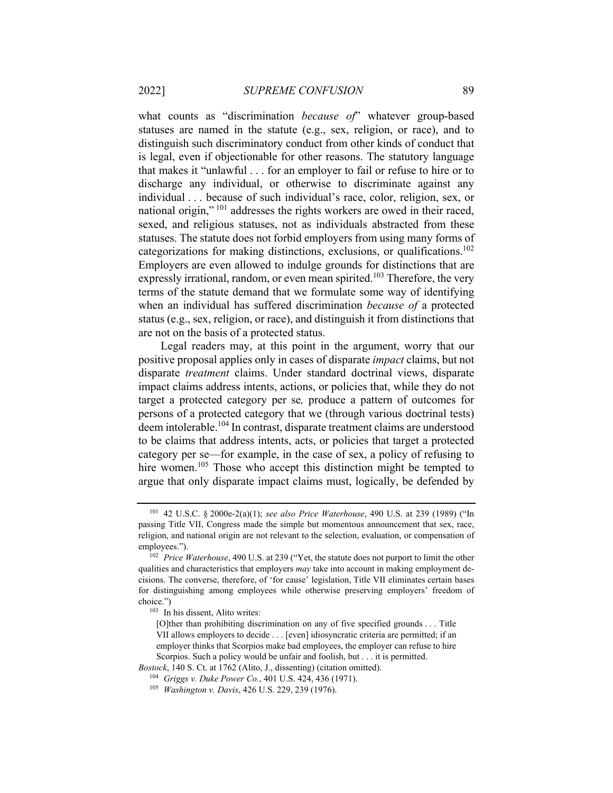what counts as "discrimination *because of*" whatever group-based statuses are named in the statute (e.g., sex, religion, or race), and to distinguish such discriminatory conduct from other kinds of conduct that is legal, even if objectionable for other reasons. The statutory language that makes it "unlawful . . . for an employer to fail or refuse to hire or to discharge any individual, or otherwise to discriminate against any individual . . . because of such individual's race, color, religion, sex, or national origin," 101 addresses the rights workers are owed in their raced, sexed, and religious statuses, not as individuals abstracted from these statuses. The statute does not forbid employers from using many forms of categorizations for making distinctions, exclusions, or qualifications.<sup>102</sup> Employers are even allowed to indulge grounds for distinctions that are expressly irrational, random, or even mean spirited.<sup>103</sup> Therefore, the very terms of the statute demand that we formulate some way of identifying when an individual has suffered discrimination *because of* a protected status (e.g., sex, religion, or race), and distinguish it from distinctions that are not on the basis of a protected status.

Legal readers may, at this point in the argument, worry that our positive proposal applies only in cases of disparate *impact* claims, but not disparate *treatment* claims. Under standard doctrinal views, disparate impact claims address intents, actions, or policies that, while they do not target a protected category per se*,* produce a pattern of outcomes for persons of a protected category that we (through various doctrinal tests) deem intolerable.104 In contrast, disparate treatment claims are understood to be claims that address intents, acts, or policies that target a protected category per se—for example, in the case of sex, a policy of refusing to hire women.<sup>105</sup> Those who accept this distinction might be tempted to argue that only disparate impact claims must, logically, be defended by

<sup>101 42</sup> U.S.C. § 2000e-2(a)(1); *see also Price Waterhouse*, 490 U.S. at 239 (1989) ("In passing Title VII, Congress made the simple but momentous announcement that sex, race, religion, and national origin are not relevant to the selection, evaluation, or compensation of employees."). 102 *Price Waterhouse*, 490 U.S. at 239 ("Yet, the statute does not purport to limit the other

qualities and characteristics that employers *may* take into account in making employment decisions. The converse, therefore, of 'for cause' legislation, Title VII eliminates certain bases for distinguishing among employees while otherwise preserving employers' freedom of choice.")<br> $103$  In his dissent, Alito writes:

<sup>[</sup>O]ther than prohibiting discrimination on any of five specified grounds . . . Title VII allows employers to decide . . . [even] idiosyncratic criteria are permitted; if an employer thinks that Scorpios make bad employees, the employer can refuse to hire Scorpios. Such a policy would be unfair and foolish, but . . . it is permitted.

*Bostock*, 140 S. Ct. at 1762 (Alito, J., dissenting) (citation omitted).<br><sup>104</sup> Griggs v. Duke Power Co., 401 U.S. 424, 436 (1971).<br><sup>105</sup> *Washington v. Davis*, 426 U.S. 229, 239 (1976).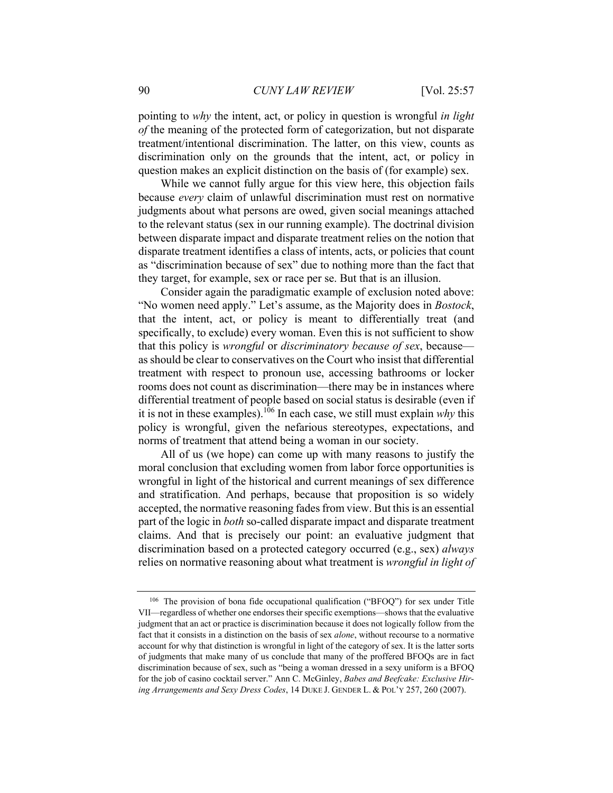pointing to *why* the intent, act, or policy in question is wrongful *in light of* the meaning of the protected form of categorization, but not disparate treatment/intentional discrimination. The latter, on this view, counts as discrimination only on the grounds that the intent, act, or policy in question makes an explicit distinction on the basis of (for example) sex.

While we cannot fully argue for this view here, this objection fails because *every* claim of unlawful discrimination must rest on normative judgments about what persons are owed, given social meanings attached to the relevant status (sex in our running example). The doctrinal division between disparate impact and disparate treatment relies on the notion that disparate treatment identifies a class of intents, acts, or policies that count as "discrimination because of sex" due to nothing more than the fact that they target, for example, sex or race per se. But that is an illusion.

Consider again the paradigmatic example of exclusion noted above: "No women need apply." Let's assume, as the Majority does in *Bostock*, that the intent, act, or policy is meant to differentially treat (and specifically, to exclude) every woman. Even this is not sufficient to show that this policy is *wrongful* or *discriminatory because of sex*, because as should be clear to conservatives on the Court who insist that differential treatment with respect to pronoun use, accessing bathrooms or locker rooms does not count as discrimination—there may be in instances where differential treatment of people based on social status is desirable (even if it is not in these examples).<sup>106</sup> In each case, we still must explain  $whv$  this policy is wrongful, given the nefarious stereotypes, expectations, and norms of treatment that attend being a woman in our society.

All of us (we hope) can come up with many reasons to justify the moral conclusion that excluding women from labor force opportunities is wrongful in light of the historical and current meanings of sex difference and stratification. And perhaps, because that proposition is so widely accepted, the normative reasoning fades from view. But this is an essential part of the logic in *both* so-called disparate impact and disparate treatment claims. And that is precisely our point: an evaluative judgment that discrimination based on a protected category occurred (e.g., sex) *always*  relies on normative reasoning about what treatment is *wrongful in light of* 

<sup>106</sup> The provision of bona fide occupational qualification ("BFOQ") for sex under Title VII—regardless of whether one endorses their specific exemptions—shows that the evaluative judgment that an act or practice is discrimination because it does not logically follow from the fact that it consists in a distinction on the basis of sex *alone*, without recourse to a normative account for why that distinction is wrongful in light of the category of sex. It is the latter sorts of judgments that make many of us conclude that many of the proffered BFOQs are in fact discrimination because of sex, such as "being a woman dressed in a sexy uniform is a BFOQ for the job of casino cocktail server." Ann C. McGinley, *Babes and Beefcake: Exclusive Hiring Arrangements and Sexy Dress Codes*, 14 DUKE J. GENDER L. & POL'Y 257, 260 (2007).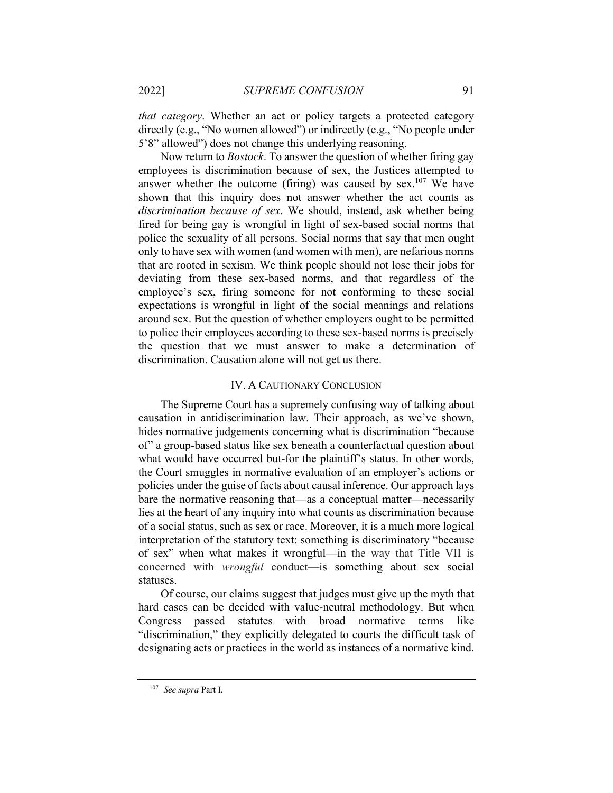*that category*. Whether an act or policy targets a protected category directly (e.g., "No women allowed") or indirectly (e.g., "No people under 5'8" allowed") does not change this underlying reasoning.

Now return to *Bostock*. To answer the question of whether firing gay employees is discrimination because of sex, the Justices attempted to answer whether the outcome (firing) was caused by sex.<sup>107</sup> We have shown that this inquiry does not answer whether the act counts as *discrimination because of sex*. We should, instead, ask whether being fired for being gay is wrongful in light of sex-based social norms that police the sexuality of all persons. Social norms that say that men ought only to have sex with women (and women with men), are nefarious norms that are rooted in sexism. We think people should not lose their jobs for deviating from these sex-based norms, and that regardless of the employee's sex, firing someone for not conforming to these social expectations is wrongful in light of the social meanings and relations around sex. But the question of whether employers ought to be permitted to police their employees according to these sex-based norms is precisely the question that we must answer to make a determination of discrimination. Causation alone will not get us there.

#### IV. A CAUTIONARY CONCLUSION

The Supreme Court has a supremely confusing way of talking about causation in antidiscrimination law. Their approach, as we've shown, hides normative judgements concerning what is discrimination "because of" a group-based status like sex beneath a counterfactual question about what would have occurred but-for the plaintiff's status. In other words, the Court smuggles in normative evaluation of an employer's actions or policies under the guise of facts about causal inference. Our approach lays bare the normative reasoning that—as a conceptual matter—necessarily lies at the heart of any inquiry into what counts as discrimination because of a social status, such as sex or race. Moreover, it is a much more logical interpretation of the statutory text: something is discriminatory "because of sex" when what makes it wrongful—in the way that Title VII is concerned with *wrongful* conduct—is something about sex social statuses.

Of course, our claims suggest that judges must give up the myth that hard cases can be decided with value-neutral methodology. But when Congress passed statutes with broad normative terms like "discrimination," they explicitly delegated to courts the difficult task of designating acts or practices in the world as instances of a normative kind.

<sup>107</sup> *See supra* Part I.